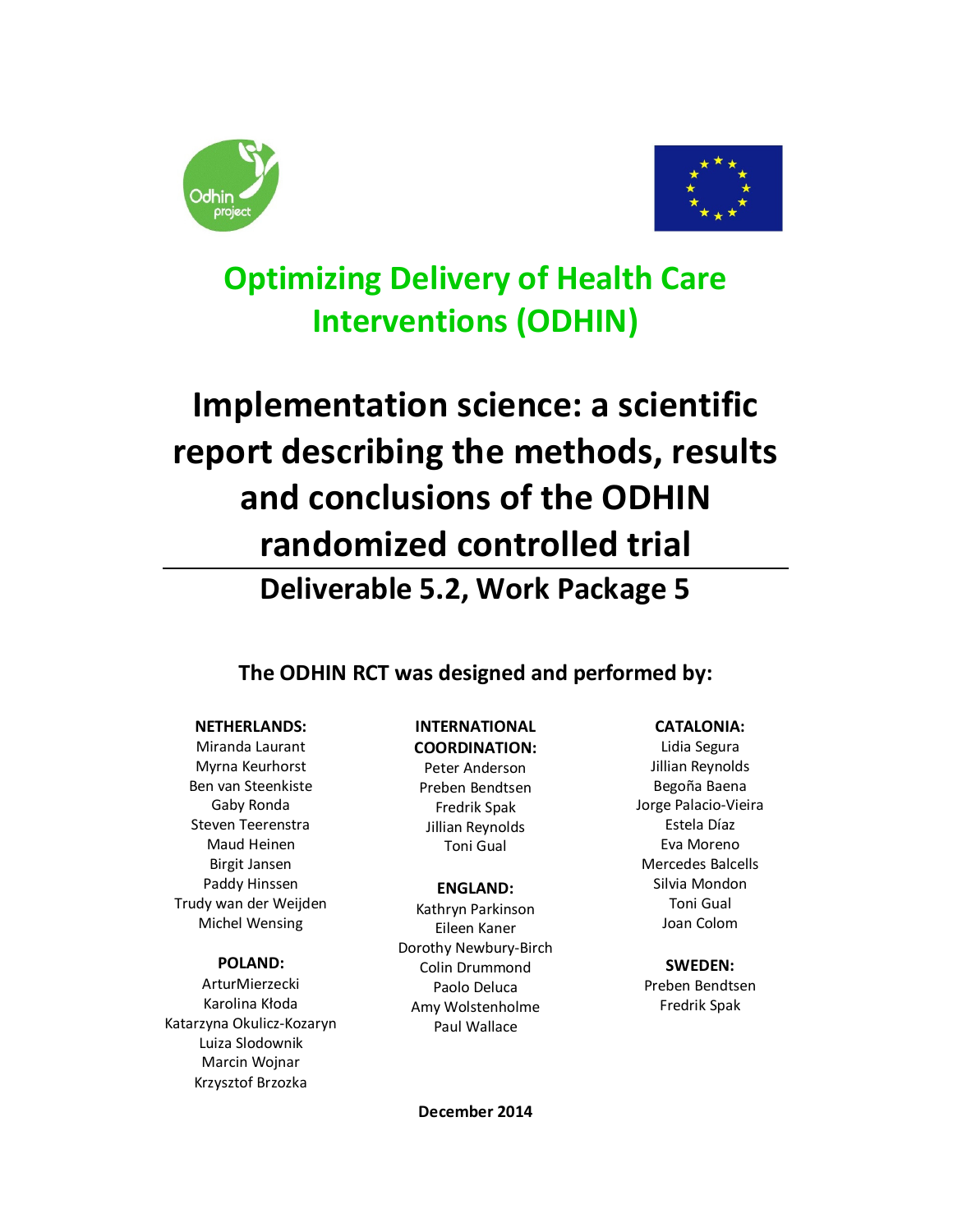



**Optimizing Delivery of Health Care Interventions (ODHIN)** 

# **Implementation science: a scientific report describing the methods, results and conclusions of the ODHIN randomized controlled trial**

**Deliverable 5.2, Work Package 5** 

**The ODHIN RCT was designed and performed by:** 

# **NETHERLANDS:**

Miranda Laurant Myrna Keurhorst Ben van Steenkiste Gaby Ronda Steven Teerenstra Maud Heinen Birgit Jansen Paddy Hinssen Trudy wan der Weijden Michel Wensing

# **POLAND:**

ArturMierzecki Karolina Kłoda Katarzyna Okulicz-Kozaryn Luiza Slodownik Marcin Wojnar Krzysztof Brzozka

#### **INTERNATIONAL COORDINATION:**

Peter Anderson Preben Bendtsen Fredrik Spak Jillian Reynolds Toni Gual

# **ENGLAND:**

Kathryn Parkinson Eileen Kaner Dorothy Newbury-Birch Colin Drummond Paolo Deluca Amy Wolstenholme Paul Wallace

# **CATALONIA:**

Lidia Segura Jillian Reynolds Begoña Baena Jorge Palacio-Vieira Estela Díaz Eva Moreno Mercedes Balcells Silvia Mondon Toni Gual Joan Colom

#### **SWEDEN:**

Preben Bendtsen Fredrik Spak

**December 2014**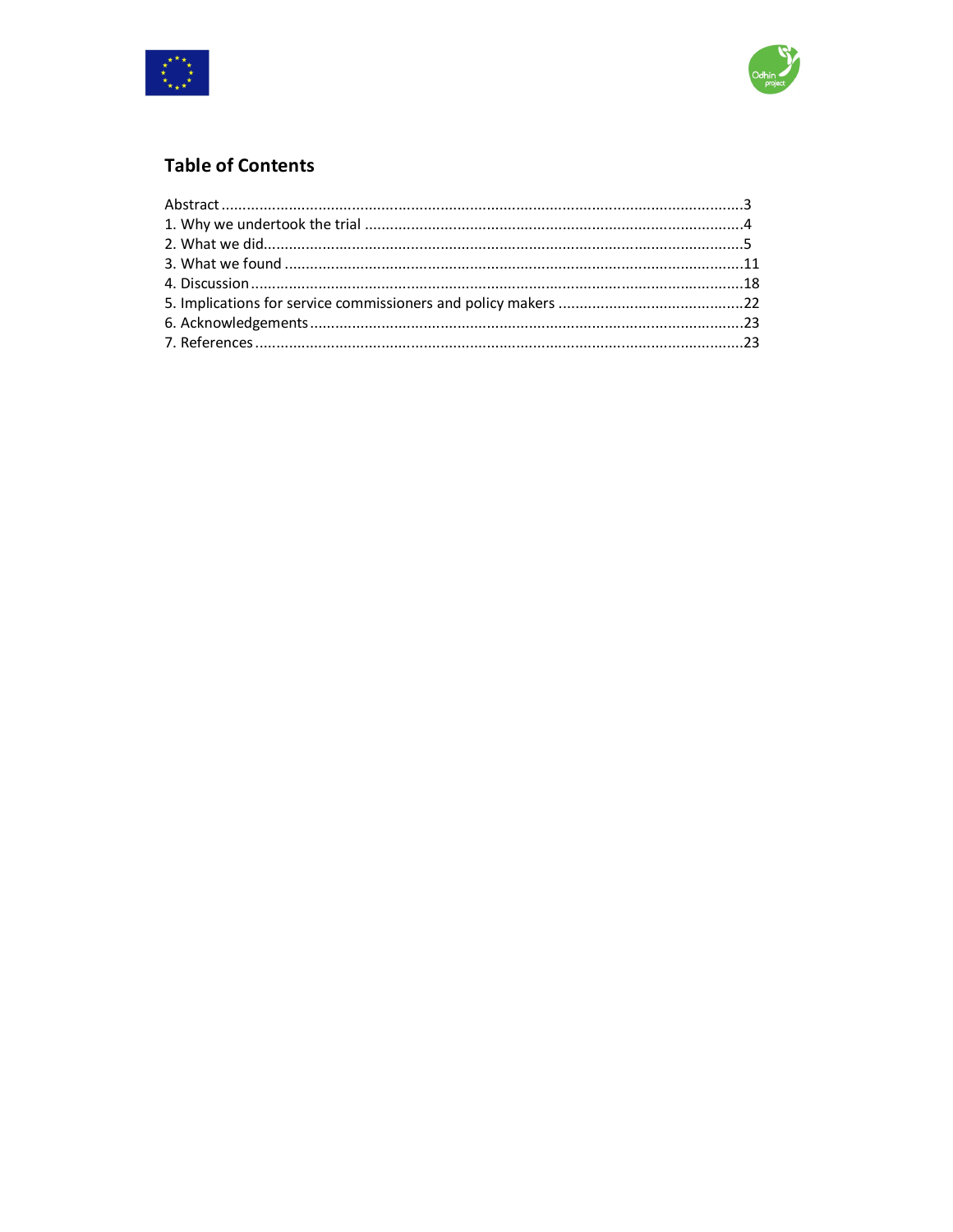



# **Table of Contents**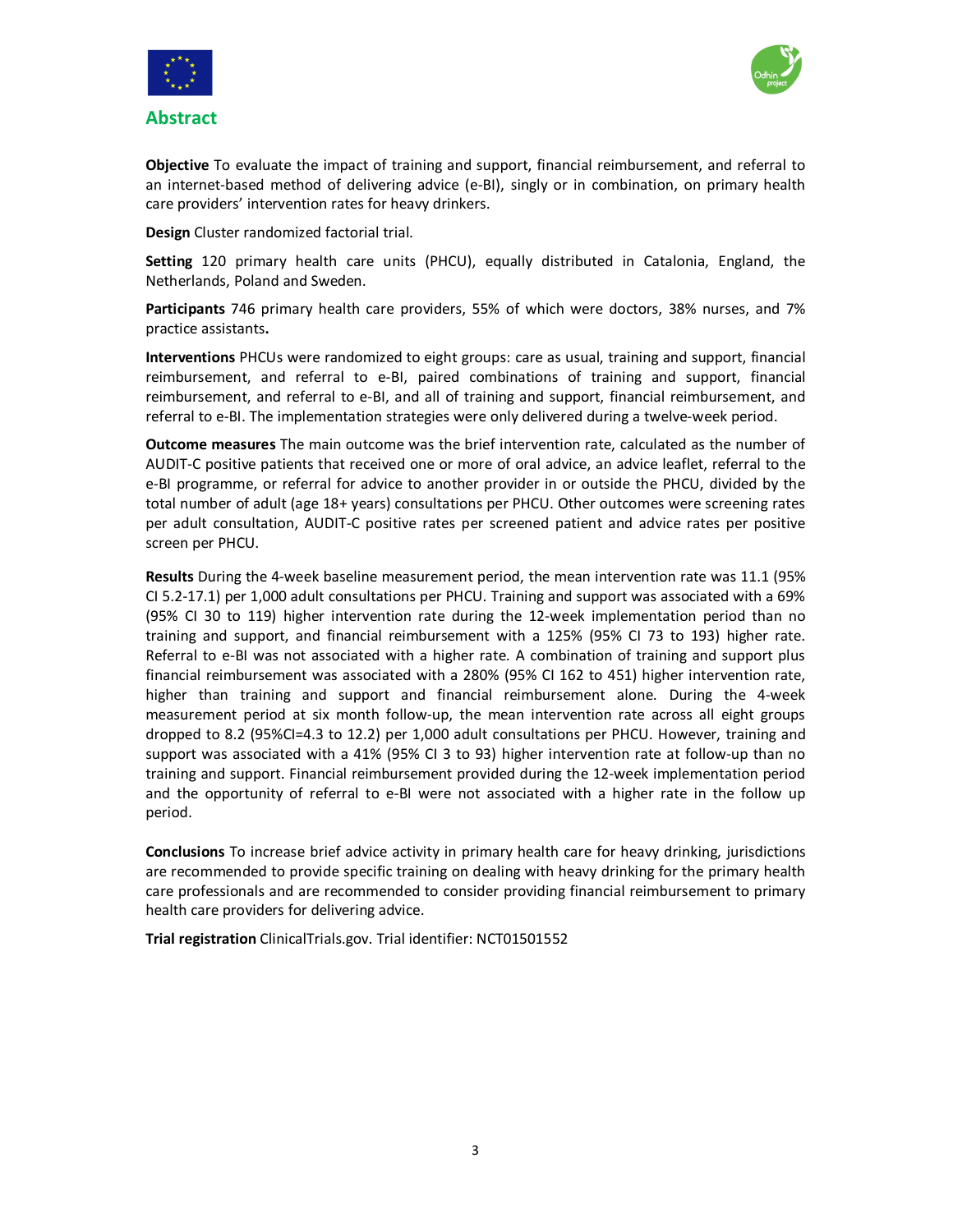



**Objective** To evaluate the impact of training and support, financial reimbursement, and referral to an internet-based method of delivering advice (e-BI), singly or in combination, on primary health care providers' intervention rates for heavy drinkers.

**Design** Cluster randomized factorial trial.

**Setting** 120 primary health care units (PHCU), equally distributed in Catalonia, England, the Netherlands, Poland and Sweden.

**Participants** 746 primary health care providers, 55% of which were doctors, 38% nurses, and 7% practice assistants**.** 

**Interventions** PHCUs were randomized to eight groups: care as usual, training and support, financial reimbursement, and referral to e-BI, paired combinations of training and support, financial reimbursement, and referral to e-BI, and all of training and support, financial reimbursement, and referral to e-BI. The implementation strategies were only delivered during a twelve-week period.

**Outcome measures** The main outcome was the brief intervention rate, calculated as the number of AUDIT-C positive patients that received one or more of oral advice, an advice leaflet, referral to the e-BI programme, or referral for advice to another provider in or outside the PHCU, divided by the total number of adult (age 18+ years) consultations per PHCU. Other outcomes were screening rates per adult consultation, AUDIT-C positive rates per screened patient and advice rates per positive screen per PHCU.

**Results** During the 4-week baseline measurement period, the mean intervention rate was 11.1 (95% CI 5.2-17.1) per 1,000 adult consultations per PHCU. Training and support was associated with a 69% (95% CI 30 to 119) higher intervention rate during the 12-week implementation period than no training and support, and financial reimbursement with a 125% (95% CI 73 to 193) higher rate. Referral to e-BI was not associated with a higher rate. A combination of training and support plus financial reimbursement was associated with a 280% (95% CI 162 to 451) higher intervention rate, higher than training and support and financial reimbursement alone. During the 4-week measurement period at six month follow-up, the mean intervention rate across all eight groups dropped to 8.2 (95%CI=4.3 to 12.2) per 1,000 adult consultations per PHCU. However, training and support was associated with a 41% (95% CI 3 to 93) higher intervention rate at follow-up than no training and support. Financial reimbursement provided during the 12-week implementation period and the opportunity of referral to e-BI were not associated with a higher rate in the follow up period.

**Conclusions** To increase brief advice activity in primary health care for heavy drinking, jurisdictions are recommended to provide specific training on dealing with heavy drinking for the primary health care professionals and are recommended to consider providing financial reimbursement to primary health care providers for delivering advice.

**Trial registration** ClinicalTrials.gov. Trial identifier: NCT01501552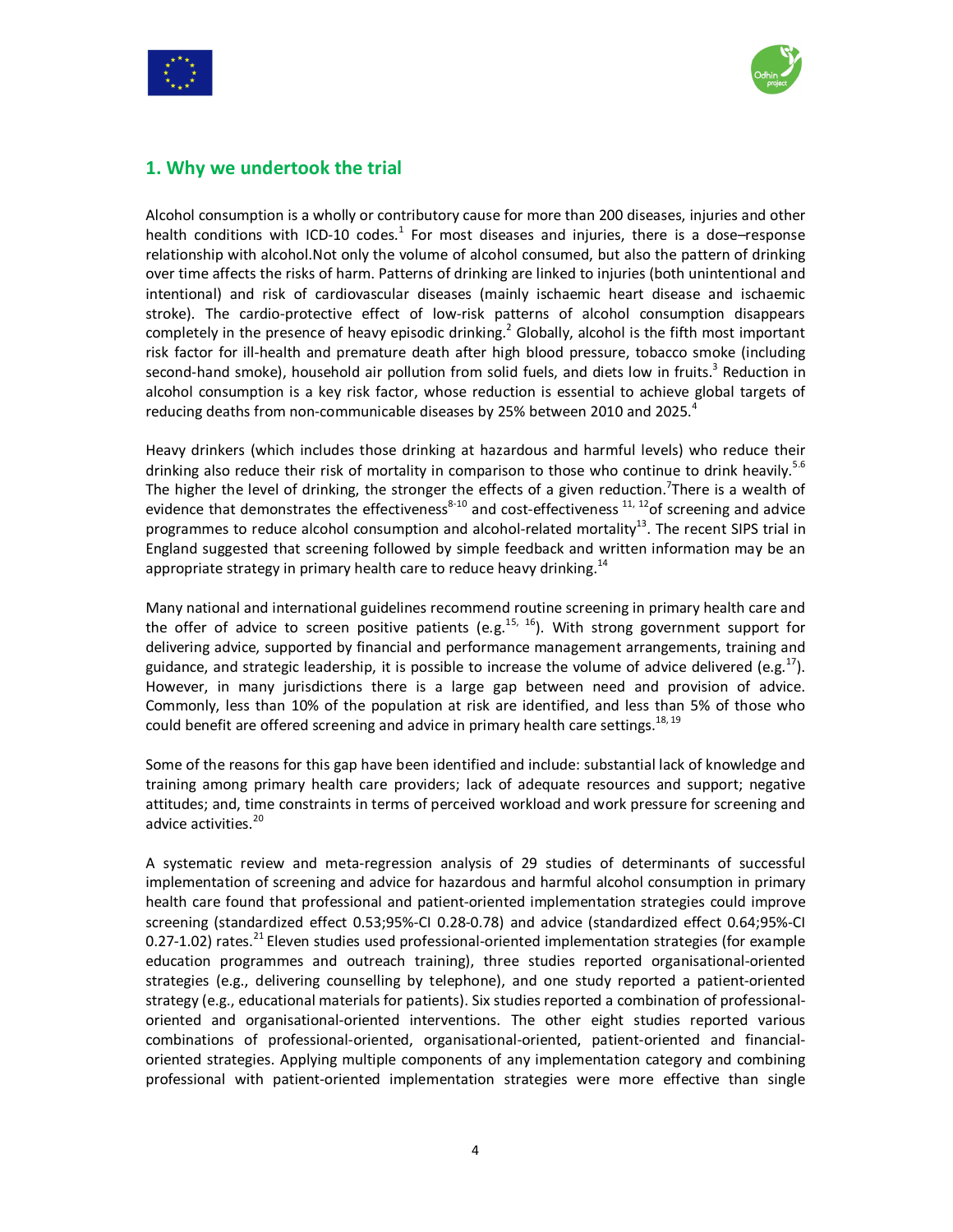



# **1. Why we undertook the trial**

Alcohol consumption is a wholly or contributory cause for more than 200 diseases, injuries and other health conditions with ICD-10 codes.<sup>1</sup> For most diseases and injuries, there is a dose–response relationship with alcohol.Not only the volume of alcohol consumed, but also the pattern of drinking over time affects the risks of harm. Patterns of drinking are linked to injuries (both unintentional and intentional) and risk of cardiovascular diseases (mainly ischaemic heart disease and ischaemic stroke). The cardio-protective effect of low-risk patterns of alcohol consumption disappears completely in the presence of heavy episodic drinking.<sup>2</sup> Globally, alcohol is the fifth most important risk factor for ill-health and premature death after high blood pressure, tobacco smoke (including second-hand smoke), household air pollution from solid fuels, and diets low in fruits.<sup>3</sup> Reduction in alcohol consumption is a key risk factor, whose reduction is essential to achieve global targets of reducing deaths from non-communicable diseases by 25% between 2010 and 2025.<sup>4</sup>

Heavy drinkers (which includes those drinking at hazardous and harmful levels) who reduce their drinking also reduce their risk of mortality in comparison to those who continue to drink heavily.<sup>5.6</sup> The higher the level of drinking, the stronger the effects of a given reduction.<sup>7</sup>There is a wealth of evidence that demonstrates the effectiveness<sup>8-10</sup> and cost-effectiveness  $11, 12$  of screening and advice programmes to reduce alcohol consumption and alcohol-related mortality<sup>13</sup>. The recent SIPS trial in England suggested that screening followed by simple feedback and written information may be an appropriate strategy in primary health care to reduce heavy drinking. $^{14}$ 

Many national and international guidelines recommend routine screening in primary health care and the offer of advice to screen positive patients (e.g.<sup>15, 16</sup>). With strong government support for delivering advice, supported by financial and performance management arrangements, training and guidance, and strategic leadership, it is possible to increase the volume of advice delivered (e.g.<sup>17</sup>). However, in many jurisdictions there is a large gap between need and provision of advice. Commonly, less than 10% of the population at risk are identified, and less than 5% of those who could benefit are offered screening and advice in primary health care settings.<sup>18, 19</sup>

Some of the reasons for this gap have been identified and include: substantial lack of knowledge and training among primary health care providers; lack of adequate resources and support; negative attitudes; and, time constraints in terms of perceived workload and work pressure for screening and advice activities.<sup>20</sup>

A systematic review and meta-regression analysis of 29 studies of determinants of successful implementation of screening and advice for hazardous and harmful alcohol consumption in primary health care found that professional and patient-oriented implementation strategies could improve screening (standardized effect 0.53;95%-CI 0.28-0.78) and advice (standardized effect 0.64;95%-CI 0.27-1.02) rates.<sup>21</sup> Eleven studies used professional-oriented implementation strategies (for example education programmes and outreach training), three studies reported organisational-oriented strategies (e.g., delivering counselling by telephone), and one study reported a patient-oriented strategy (e.g., educational materials for patients). Six studies reported a combination of professionaloriented and organisational-oriented interventions. The other eight studies reported various combinations of professional-oriented, organisational-oriented, patient-oriented and financialoriented strategies. Applying multiple components of any implementation category and combining professional with patient-oriented implementation strategies were more effective than single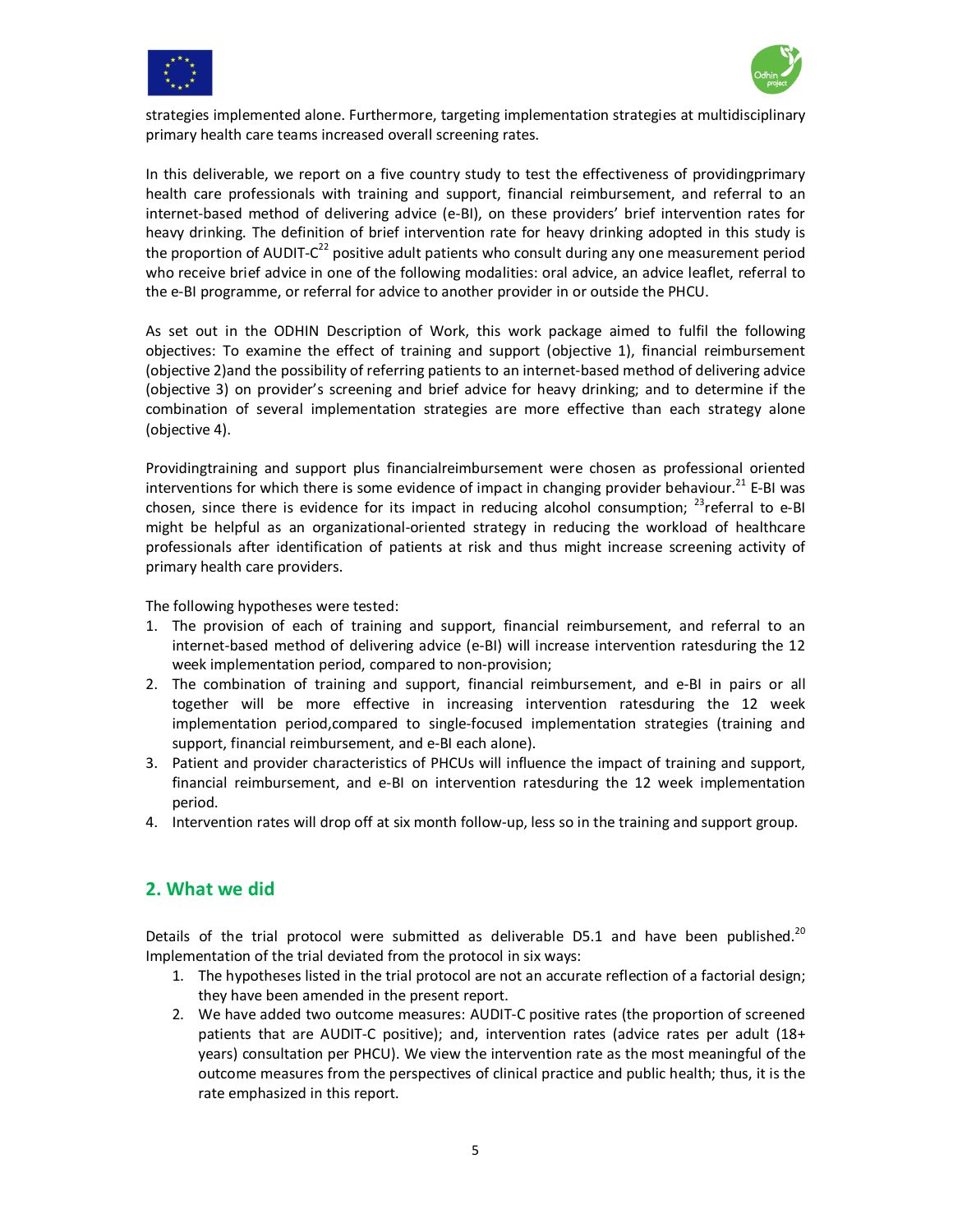



strategies implemented alone. Furthermore, targeting implementation strategies at multidisciplinary primary health care teams increased overall screening rates.

In this deliverable, we report on a five country study to test the effectiveness of providingprimary health care professionals with training and support, financial reimbursement, and referral to an internet-based method of delivering advice (e-BI), on these providers' brief intervention rates for heavy drinking. The definition of brief intervention rate for heavy drinking adopted in this study is the proportion of AUDIT- $C^{22}$  positive adult patients who consult during any one measurement period who receive brief advice in one of the following modalities: oral advice, an advice leaflet, referral to the e-BI programme, or referral for advice to another provider in or outside the PHCU.

As set out in the ODHIN Description of Work, this work package aimed to fulfil the following objectives: To examine the effect of training and support (objective 1), financial reimbursement (objective 2)and the possibility of referring patients to an internet-based method of delivering advice (objective 3) on provider's screening and brief advice for heavy drinking; and to determine if the combination of several implementation strategies are more effective than each strategy alone (objective 4).

Providingtraining and support plus financialreimbursement were chosen as professional oriented interventions for which there is some evidence of impact in changing provider behaviour.<sup>21</sup> E-BI was chosen, since there is evidence for its impact in reducing alcohol consumption;  $^{23}$ referral to e-BI might be helpful as an organizational-oriented strategy in reducing the workload of healthcare professionals after identification of patients at risk and thus might increase screening activity of primary health care providers.

The following hypotheses were tested:

- 1. The provision of each of training and support, financial reimbursement, and referral to an internet-based method of delivering advice (e-BI) will increase intervention ratesduring the 12 week implementation period, compared to non-provision;
- 2. The combination of training and support, financial reimbursement, and e-BI in pairs or all together will be more effective in increasing intervention ratesduring the 12 week implementation period,compared to single-focused implementation strategies (training and support, financial reimbursement, and e-BI each alone).
- 3. Patient and provider characteristics of PHCUs will influence the impact of training and support, financial reimbursement, and e-BI on intervention ratesduring the 12 week implementation period.
- 4. Intervention rates will drop off at six month follow-up, less so in the training and support group.

# **2. What we did**

Details of the trial protocol were submitted as deliverable D5.1 and have been published. $^{20}$ Implementation of the trial deviated from the protocol in six ways:

- 1. The hypotheses listed in the trial protocol are not an accurate reflection of a factorial design; they have been amended in the present report.
- 2. We have added two outcome measures: AUDIT-C positive rates (the proportion of screened patients that are AUDIT-C positive); and, intervention rates (advice rates per adult (18+ years) consultation per PHCU). We view the intervention rate as the most meaningful of the outcome measures from the perspectives of clinical practice and public health; thus, it is the rate emphasized in this report.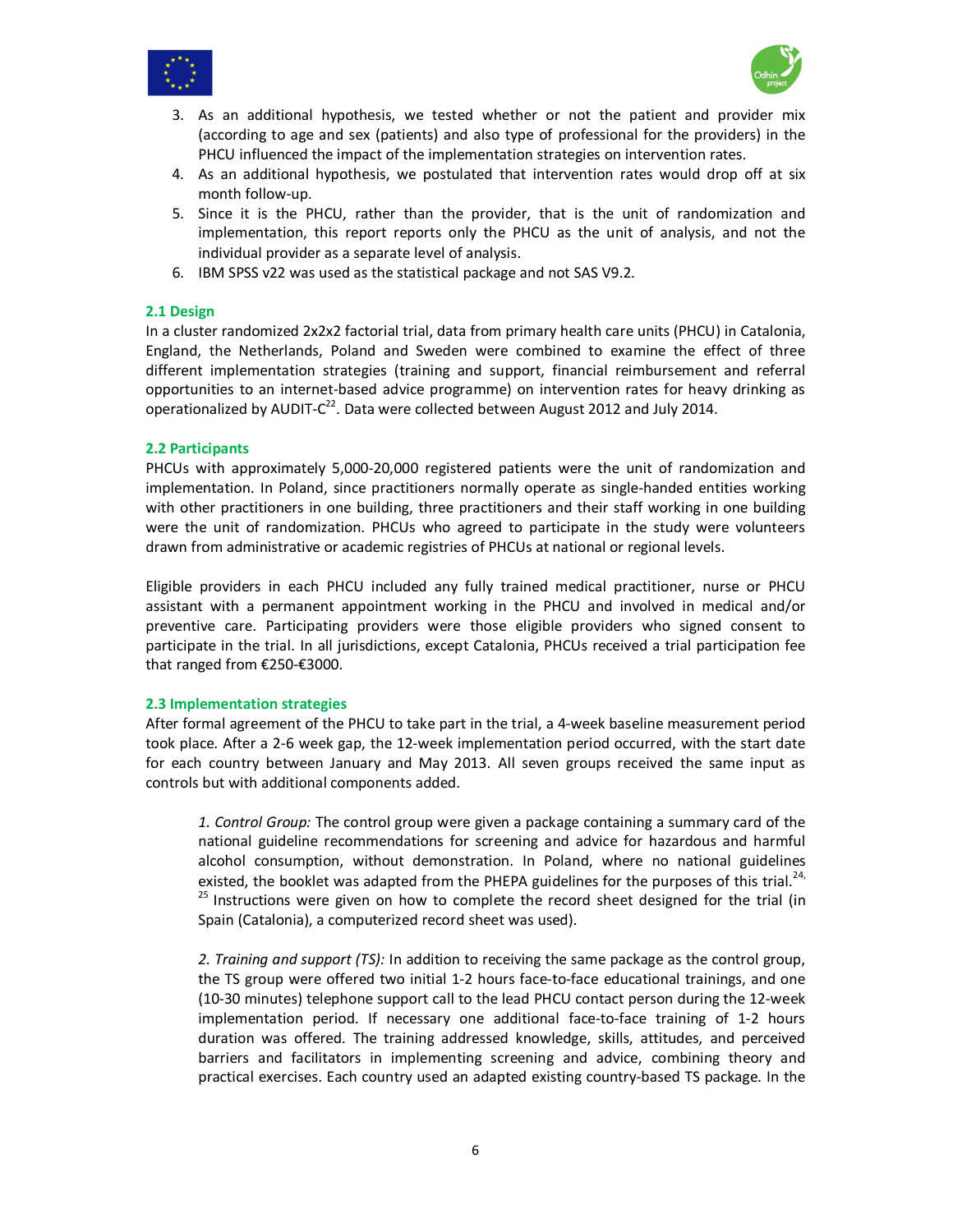



- 3. As an additional hypothesis, we tested whether or not the patient and provider mix (according to age and sex (patients) and also type of professional for the providers) in the PHCU influenced the impact of the implementation strategies on intervention rates.
- 4. As an additional hypothesis, we postulated that intervention rates would drop off at six month follow-up.
- 5. Since it is the PHCU, rather than the provider, that is the unit of randomization and implementation, this report reports only the PHCU as the unit of analysis, and not the individual provider as a separate level of analysis.
- 6. IBM SPSS v22 was used as the statistical package and not SAS V9.2.

#### **2.1 Design**

In a cluster randomized 2x2x2 factorial trial, data from primary health care units (PHCU) in Catalonia, England, the Netherlands, Poland and Sweden were combined to examine the effect of three different implementation strategies (training and support, financial reimbursement and referral opportunities to an internet-based advice programme) on intervention rates for heavy drinking as operationalized by AUDIT- $C^{22}$ . Data were collected between August 2012 and July 2014.

#### **2.2 Participants**

PHCUs with approximately 5,000-20,000 registered patients were the unit of randomization and implementation. In Poland, since practitioners normally operate as single-handed entities working with other practitioners in one building, three practitioners and their staff working in one building were the unit of randomization. PHCUs who agreed to participate in the study were volunteers drawn from administrative or academic registries of PHCUs at national or regional levels.

Eligible providers in each PHCU included any fully trained medical practitioner, nurse or PHCU assistant with a permanent appointment working in the PHCU and involved in medical and/or preventive care. Participating providers were those eligible providers who signed consent to participate in the trial. In all jurisdictions, except Catalonia, PHCUs received a trial participation fee that ranged from €250-€3000.

#### **2.3 Implementation strategies**

After formal agreement of the PHCU to take part in the trial, a 4-week baseline measurement period took place. After a 2-6 week gap, the 12-week implementation period occurred, with the start date for each country between January and May 2013. All seven groups received the same input as controls but with additional components added.

*1. Control Group:* The control group were given a package containing a summary card of the national guideline recommendations for screening and advice for hazardous and harmful alcohol consumption, without demonstration. In Poland, where no national guidelines existed, the booklet was adapted from the PHEPA guidelines for the purposes of this trial.<sup>24,</sup> <sup>25</sup> Instructions were given on how to complete the record sheet designed for the trial (in Spain (Catalonia), a computerized record sheet was used).

*2. Training and support (TS):* In addition to receiving the same package as the control group, the TS group were offered two initial 1-2 hours face-to-face educational trainings, and one (10-30 minutes) telephone support call to the lead PHCU contact person during the 12-week implementation period. If necessary one additional face-to-face training of 1-2 hours duration was offered. The training addressed knowledge, skills, attitudes, and perceived barriers and facilitators in implementing screening and advice, combining theory and practical exercises. Each country used an adapted existing country-based TS package. In the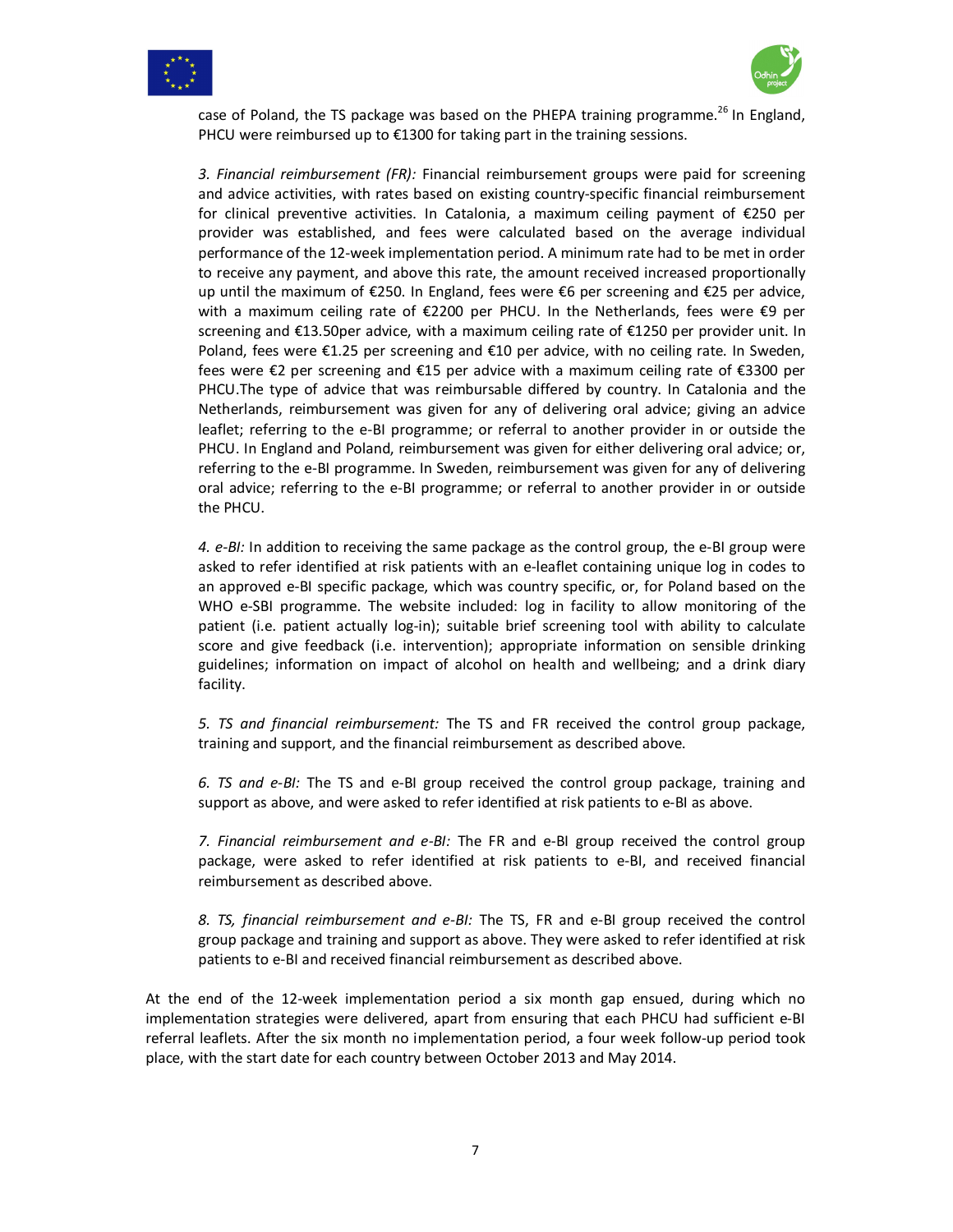



case of Poland, the TS package was based on the PHEPA training programme.<sup>26</sup> In England, PHCU were reimbursed up to €1300 for taking part in the training sessions.

*3. Financial reimbursement (FR):* Financial reimbursement groups were paid for screening and advice activities, with rates based on existing country-specific financial reimbursement for clinical preventive activities. In Catalonia, a maximum ceiling payment of €250 per provider was established, and fees were calculated based on the average individual performance of the 12-week implementation period. A minimum rate had to be met in order to receive any payment, and above this rate, the amount received increased proportionally up until the maximum of €250. In England, fees were €6 per screening and €25 per advice, with a maximum ceiling rate of €2200 per PHCU. In the Netherlands, fees were €9 per screening and €13.50per advice, with a maximum ceiling rate of €1250 per provider unit. In Poland, fees were €1.25 per screening and €10 per advice, with no ceiling rate. In Sweden, fees were €2 per screening and €15 per advice with a maximum ceiling rate of €3300 per PHCU.The type of advice that was reimbursable differed by country. In Catalonia and the Netherlands, reimbursement was given for any of delivering oral advice; giving an advice leaflet; referring to the e-BI programme; or referral to another provider in or outside the PHCU. In England and Poland, reimbursement was given for either delivering oral advice; or, referring to the e-BI programme. In Sweden, reimbursement was given for any of delivering oral advice; referring to the e-BI programme; or referral to another provider in or outside the PHCU.

*4. e-BI:* In addition to receiving the same package as the control group, the e-BI group were asked to refer identified at risk patients with an e-leaflet containing unique log in codes to an approved e-BI specific package, which was country specific, or, for Poland based on the WHO e-SBI programme. The website included: log in facility to allow monitoring of the patient (i.e. patient actually log-in); suitable brief screening tool with ability to calculate score and give feedback (i.e. intervention); appropriate information on sensible drinking guidelines; information on impact of alcohol on health and wellbeing; and a drink diary facility.

*5. TS and financial reimbursement:* The TS and FR received the control group package, training and support, and the financial reimbursement as described above.

*6. TS and e-BI:* The TS and e-BI group received the control group package, training and support as above, and were asked to refer identified at risk patients to e-BI as above.

*7. Financial reimbursement and e-BI:* The FR and e-BI group received the control group package, were asked to refer identified at risk patients to e-BI, and received financial reimbursement as described above.

*8. TS, financial reimbursement and e-BI:* The TS, FR and e-BI group received the control group package and training and support as above. They were asked to refer identified at risk patients to e-BI and received financial reimbursement as described above.

At the end of the 12-week implementation period a six month gap ensued, during which no implementation strategies were delivered, apart from ensuring that each PHCU had sufficient e-BI referral leaflets. After the six month no implementation period, a four week follow-up period took place, with the start date for each country between October 2013 and May 2014.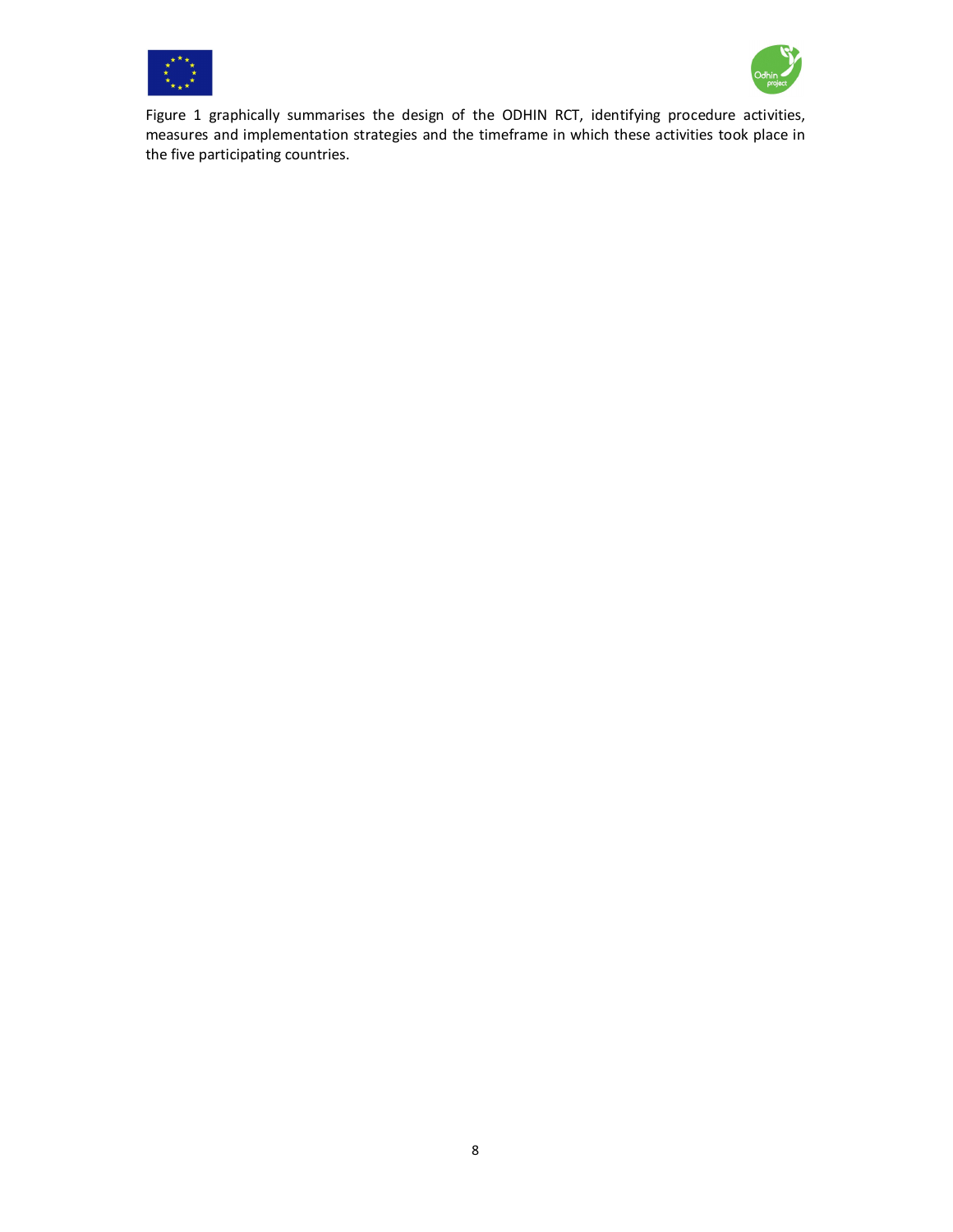



Figure 1 graphically summarises the design of the ODHIN RCT, identifying procedure activities, measures and implementation strategies and the timeframe in which these activities took place in the five participating countries.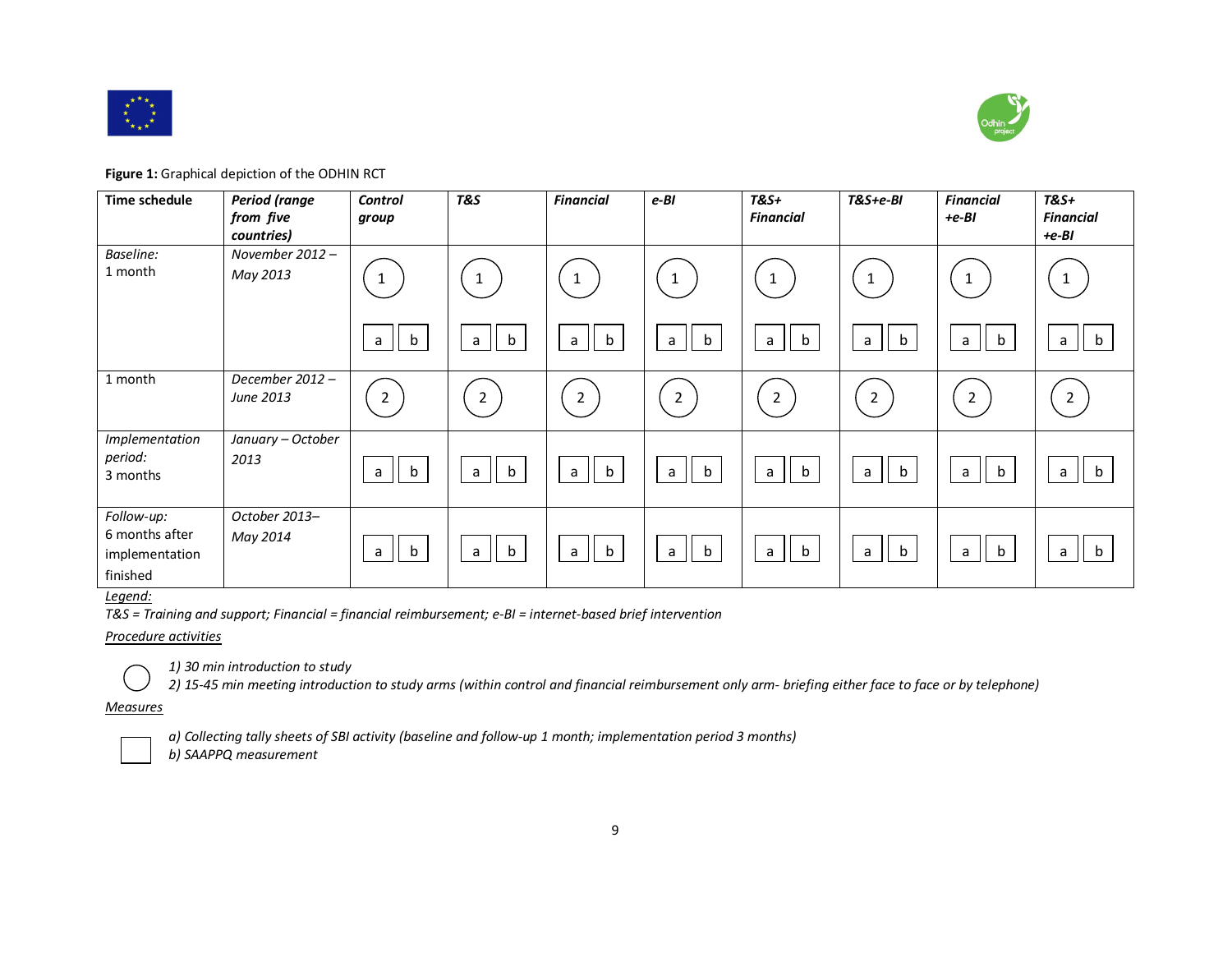



**Figure 1:** Graphical depiction of the ODHIN RCT

| Time schedule                                              | <b>Period</b> (range<br>from five<br>countries) | <b>Control</b><br>group     | <b>T&amp;S</b>     | <b>Financial</b>            | $e-BI$                      | <b>T&amp;S+</b><br>Financial | $T&S+e-BI$       | <b>Financial</b><br>$+e-BI$ | $T&S+$<br><b>Financial</b><br>$+e-BI$ |
|------------------------------------------------------------|-------------------------------------------------|-----------------------------|--------------------|-----------------------------|-----------------------------|------------------------------|------------------|-----------------------------|---------------------------------------|
| Baseline:<br>1 month                                       | November 2012 -<br>May 2013                     | $\mathbf{1}$                | 1                  | $\mathbf{1}$                | $\mathbf{1}$                | 1                            | $\mathbf{1}$     |                             | $\mathbf{1}$                          |
|                                                            |                                                 | $\mathsf b$<br>$\mathsf{a}$ | $\mathsf b$<br>a   | $\mathsf b$<br>$\mathsf{a}$ | b<br>a                      | $\mathsf b$<br>a             | $\mathsf b$<br>a | $\mathsf b$<br>a            | $\mathsf{b}$<br>a                     |
| 1 month                                                    | December 2012-<br>June 2013                     | $\overline{2}$              | $\overline{2}$     | $\overline{2}$              | $\overline{2}$              | $\overline{2}$               | $\overline{2}$   | $\overline{2}$              | $\overline{2}$                        |
| Implementation<br>period:<br>3 months                      | January - October<br>2013                       | $\mathbf b$<br>a            | $\mathsf{b}$<br>a  | <sub>b</sub><br>a           | $\mathbf b$<br>$\mathsf{a}$ | $\mathbf b$<br>a             | $\mathbf b$<br>a | $\mathbf b$<br>$\mathsf{a}$ | b<br>a                                |
| Follow-up:<br>6 months after<br>implementation<br>finished | October 2013-<br>May 2014                       | b<br>a                      | $\mathbf b$<br>a l | $\mathbf b$<br>a            | $\mathbf b$<br>$\mathsf{a}$ | $\mathbf b$<br>a             | $\mathsf b$<br>a | $\mathbf b$<br>a            | b<br>$\mathsf{a}$                     |

# *Legend:*

*T&S = Training and support; Financial = financial reimbursement; e-BI = internet-based brief intervention* 

#### *Procedure activities*



*1) 30 min introduction to study* 

*2) 15-45 min meeting introduction to study arms (within control and financial reimbursement only arm- briefing either face to face or by telephone)* 

#### *Measures*



*a) Collecting tally sheets of SBI activity (baseline and follow-up 1 month; implementation period 3 months)*

*b) SAAPPQ measurement*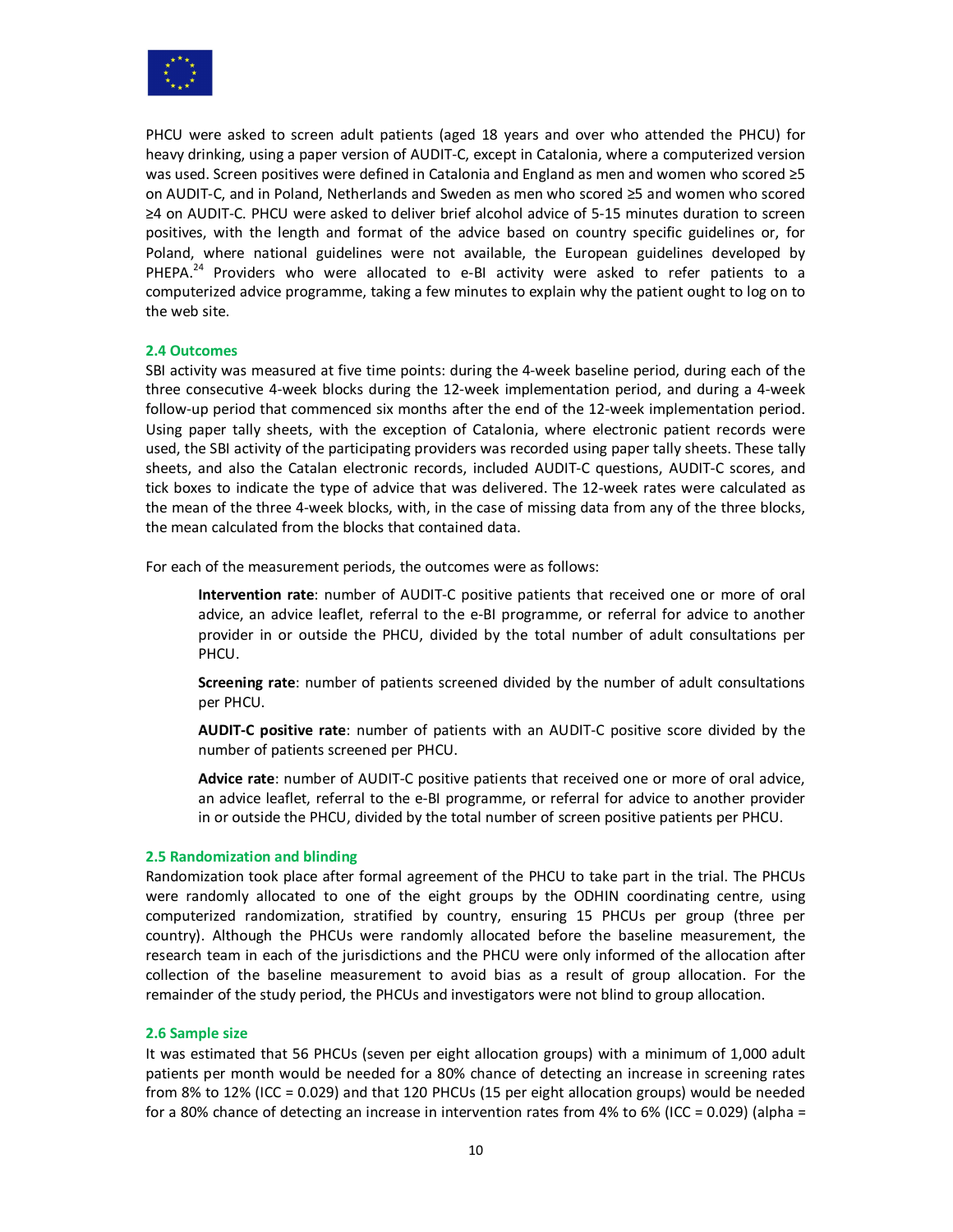

PHCU were asked to screen adult patients (aged 18 years and over who attended the PHCU) for heavy drinking, using a paper version of AUDIT-C, except in Catalonia, where a computerized version was used. Screen positives were defined in Catalonia and England as men and women who scored ≥5 on AUDIT-C, and in Poland, Netherlands and Sweden as men who scored ≥5 and women who scored ≥4 on AUDIT-C. PHCU were asked to deliver brief alcohol advice of 5-15 minutes duration to screen positives, with the length and format of the advice based on country specific guidelines or, for Poland, where national guidelines were not available, the European guidelines developed by PHEPA.<sup>24</sup> Providers who were allocated to e-BI activity were asked to refer patients to a computerized advice programme, taking a few minutes to explain why the patient ought to log on to the web site.

# **2.4 Outcomes**

SBI activity was measured at five time points: during the 4-week baseline period, during each of the three consecutive 4-week blocks during the 12-week implementation period, and during a 4-week follow-up period that commenced six months after the end of the 12-week implementation period. Using paper tally sheets, with the exception of Catalonia, where electronic patient records were used, the SBI activity of the participating providers was recorded using paper tally sheets. These tally sheets, and also the Catalan electronic records, included AUDIT-C questions, AUDIT-C scores, and tick boxes to indicate the type of advice that was delivered. The 12-week rates were calculated as the mean of the three 4-week blocks, with, in the case of missing data from any of the three blocks, the mean calculated from the blocks that contained data.

For each of the measurement periods, the outcomes were as follows:

**Intervention rate**: number of AUDIT-C positive patients that received one or more of oral advice, an advice leaflet, referral to the e-BI programme, or referral for advice to another provider in or outside the PHCU, divided by the total number of adult consultations per PHCU.

**Screening rate**: number of patients screened divided by the number of adult consultations per PHCU.

**AUDIT-C positive rate**: number of patients with an AUDIT-C positive score divided by the number of patients screened per PHCU.

**Advice rate**: number of AUDIT-C positive patients that received one or more of oral advice, an advice leaflet, referral to the e-BI programme, or referral for advice to another provider in or outside the PHCU, divided by the total number of screen positive patients per PHCU.

#### **2.5 Randomization and blinding**

Randomization took place after formal agreement of the PHCU to take part in the trial. The PHCUs were randomly allocated to one of the eight groups by the ODHIN coordinating centre, using computerized randomization, stratified by country, ensuring 15 PHCUs per group (three per country). Although the PHCUs were randomly allocated before the baseline measurement, the research team in each of the jurisdictions and the PHCU were only informed of the allocation after collection of the baseline measurement to avoid bias as a result of group allocation. For the remainder of the study period, the PHCUs and investigators were not blind to group allocation.

#### **2.6 Sample size**

It was estimated that 56 PHCUs (seven per eight allocation groups) with a minimum of 1,000 adult patients per month would be needed for a 80% chance of detecting an increase in screening rates from 8% to 12% (ICC = 0.029) and that 120 PHCUs (15 per eight allocation groups) would be needed for a 80% chance of detecting an increase in intervention rates from 4% to 6% (ICC = 0.029) (alpha =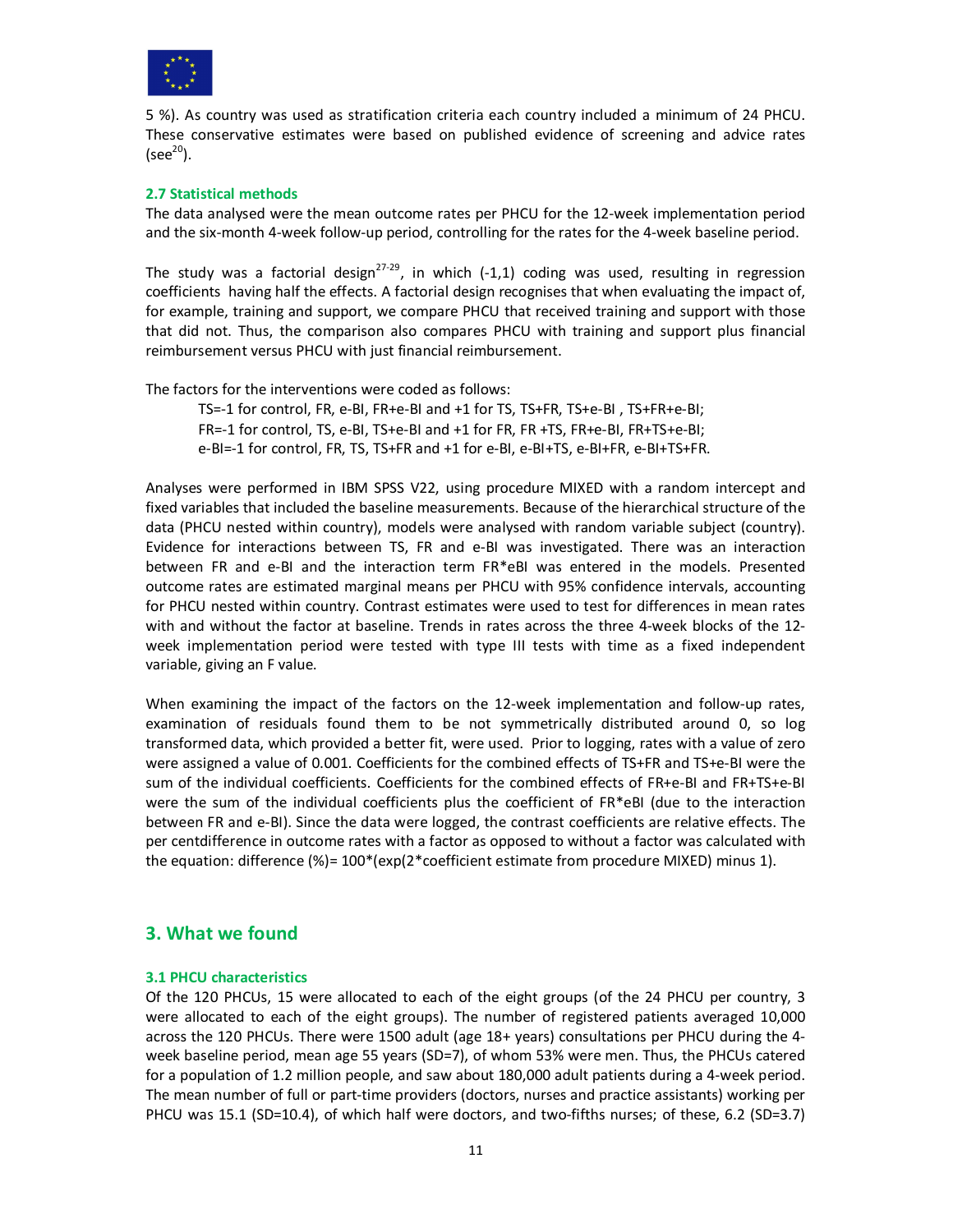

5 %). As country was used as stratification criteria each country included a minimum of 24 PHCU. These conservative estimates were based on published evidence of screening and advice rates  $(see<sup>20</sup>)$ .

# **2.7 Statistical methods**

The data analysed were the mean outcome rates per PHCU for the 12-week implementation period and the six-month 4-week follow-up period, controlling for the rates for the 4-week baseline period.

The study was a factorial design<sup>27-29</sup>, in which (-1,1) coding was used, resulting in regression coefficients having half the effects. A factorial design recognises that when evaluating the impact of, for example, training and support, we compare PHCU that received training and support with those that did not. Thus, the comparison also compares PHCU with training and support plus financial reimbursement versus PHCU with just financial reimbursement.

The factors for the interventions were coded as follows:

TS=-1 for control, FR, e-BI, FR+e-BI and +1 for TS, TS+FR, TS+e-BI , TS+FR+e-BI; FR=-1 for control, TS, e-BI, TS+e-BI and +1 for FR, FR +TS, FR+e-BI, FR+TS+e-BI; e-BI=-1 for control, FR, TS, TS+FR and +1 for e-BI, e-BI+TS, e-BI+FR, e-BI+TS+FR.

Analyses were performed in IBM SPSS V22, using procedure MIXED with a random intercept and fixed variables that included the baseline measurements. Because of the hierarchical structure of the data (PHCU nested within country), models were analysed with random variable subject (country). Evidence for interactions between TS, FR and e-BI was investigated. There was an interaction between FR and e-BI and the interaction term FR\*eBI was entered in the models. Presented outcome rates are estimated marginal means per PHCU with 95% confidence intervals, accounting for PHCU nested within country. Contrast estimates were used to test for differences in mean rates with and without the factor at baseline. Trends in rates across the three 4-week blocks of the 12 week implementation period were tested with type III tests with time as a fixed independent variable, giving an F value.

When examining the impact of the factors on the 12-week implementation and follow-up rates, examination of residuals found them to be not symmetrically distributed around 0, so log transformed data, which provided a better fit, were used. Prior to logging, rates with a value of zero were assigned a value of 0.001. Coefficients for the combined effects of TS+FR and TS+e-BI were the sum of the individual coefficients. Coefficients for the combined effects of FR+e-BI and FR+TS+e-BI were the sum of the individual coefficients plus the coefficient of FR\*eBI (due to the interaction between FR and e-BI). Since the data were logged, the contrast coefficients are relative effects. The per centdifference in outcome rates with a factor as opposed to without a factor was calculated with the equation: difference  $\frac{9}{2} = 100^{\circ}$  (exp(2\*coefficient estimate from procedure MIXED) minus 1).

# **3. What we found**

# **3.1 PHCU characteristics**

Of the 120 PHCUs, 15 were allocated to each of the eight groups (of the 24 PHCU per country, 3 were allocated to each of the eight groups). The number of registered patients averaged 10,000 across the 120 PHCUs. There were 1500 adult (age 18+ years) consultations per PHCU during the 4 week baseline period, mean age 55 years (SD=7), of whom 53% were men. Thus, the PHCUs catered for a population of 1.2 million people, and saw about 180,000 adult patients during a 4-week period. The mean number of full or part-time providers (doctors, nurses and practice assistants) working per PHCU was 15.1 (SD=10.4), of which half were doctors, and two-fifths nurses; of these, 6.2 (SD=3.7)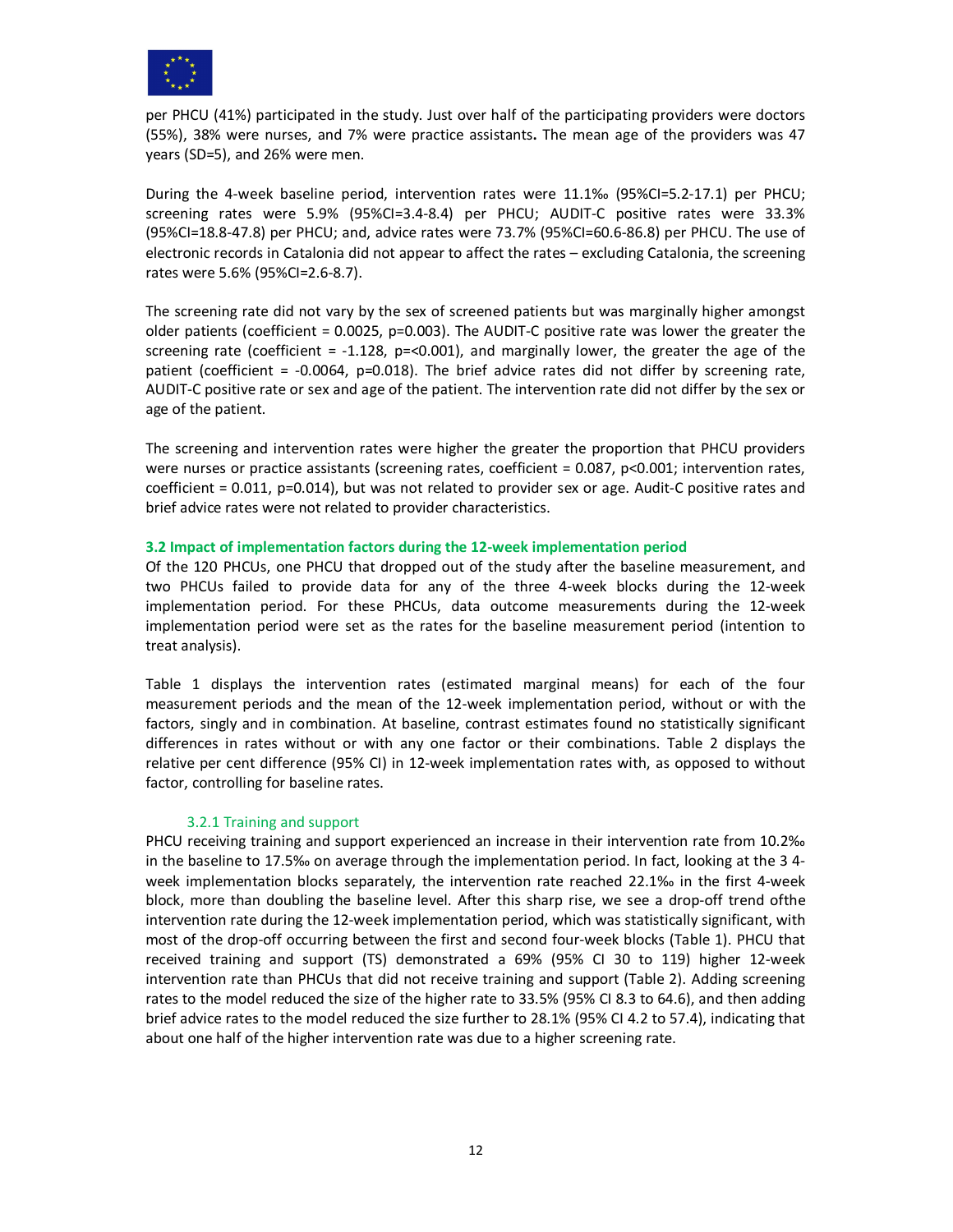

per PHCU (41%) participated in the study. Just over half of the participating providers were doctors (55%), 38% were nurses, and 7% were practice assistants**.** The mean age of the providers was 47 years (SD=5), and 26% were men.

During the 4-week baseline period, intervention rates were 11.1‰ (95%CI=5.2-17.1) per PHCU; screening rates were 5.9% (95%CI=3.4-8.4) per PHCU; AUDIT-C positive rates were 33.3% (95%CI=18.8-47.8) per PHCU; and, advice rates were 73.7% (95%CI=60.6-86.8) per PHCU. The use of electronic records in Catalonia did not appear to affect the rates – excluding Catalonia, the screening rates were 5.6% (95%CI=2.6-8.7).

The screening rate did not vary by the sex of screened patients but was marginally higher amongst older patients (coefficient =  $0.0025$ , p=0.003). The AUDIT-C positive rate was lower the greater the screening rate (coefficient  $= -1.128$ , p=<0.001), and marginally lower, the greater the age of the patient (coefficient = -0.0064, p=0.018). The brief advice rates did not differ by screening rate, AUDIT-C positive rate or sex and age of the patient. The intervention rate did not differ by the sex or age of the patient.

The screening and intervention rates were higher the greater the proportion that PHCU providers were nurses or practice assistants (screening rates, coefficient = 0.087, p<0.001; intervention rates, coefficient = 0.011, p=0.014), but was not related to provider sex or age. Audit-C positive rates and brief advice rates were not related to provider characteristics.

#### **3.2 Impact of implementation factors during the 12-week implementation period**

Of the 120 PHCUs, one PHCU that dropped out of the study after the baseline measurement, and two PHCUs failed to provide data for any of the three 4-week blocks during the 12-week implementation period. For these PHCUs, data outcome measurements during the 12-week implementation period were set as the rates for the baseline measurement period (intention to treat analysis).

Table 1 displays the intervention rates (estimated marginal means) for each of the four measurement periods and the mean of the 12-week implementation period, without or with the factors, singly and in combination. At baseline, contrast estimates found no statistically significant differences in rates without or with any one factor or their combinations. Table 2 displays the relative per cent difference (95% CI) in 12-week implementation rates with, as opposed to without factor, controlling for baseline rates.

# 3.2.1 Training and support

PHCU receiving training and support experienced an increase in their intervention rate from 10.2‰ in the baseline to 17.5‰ on average through the implementation period. In fact, looking at the 3 4 week implementation blocks separately, the intervention rate reached 22.1‰ in the first 4-week block, more than doubling the baseline level. After this sharp rise, we see a drop-off trend ofthe intervention rate during the 12-week implementation period, which was statistically significant, with most of the drop-off occurring between the first and second four-week blocks (Table 1). PHCU that received training and support (TS) demonstrated a 69% (95% CI 30 to 119) higher 12-week intervention rate than PHCUs that did not receive training and support (Table 2). Adding screening rates to the model reduced the size of the higher rate to 33.5% (95% CI 8.3 to 64.6), and then adding brief advice rates to the model reduced the size further to 28.1% (95% CI 4.2 to 57.4), indicating that about one half of the higher intervention rate was due to a higher screening rate.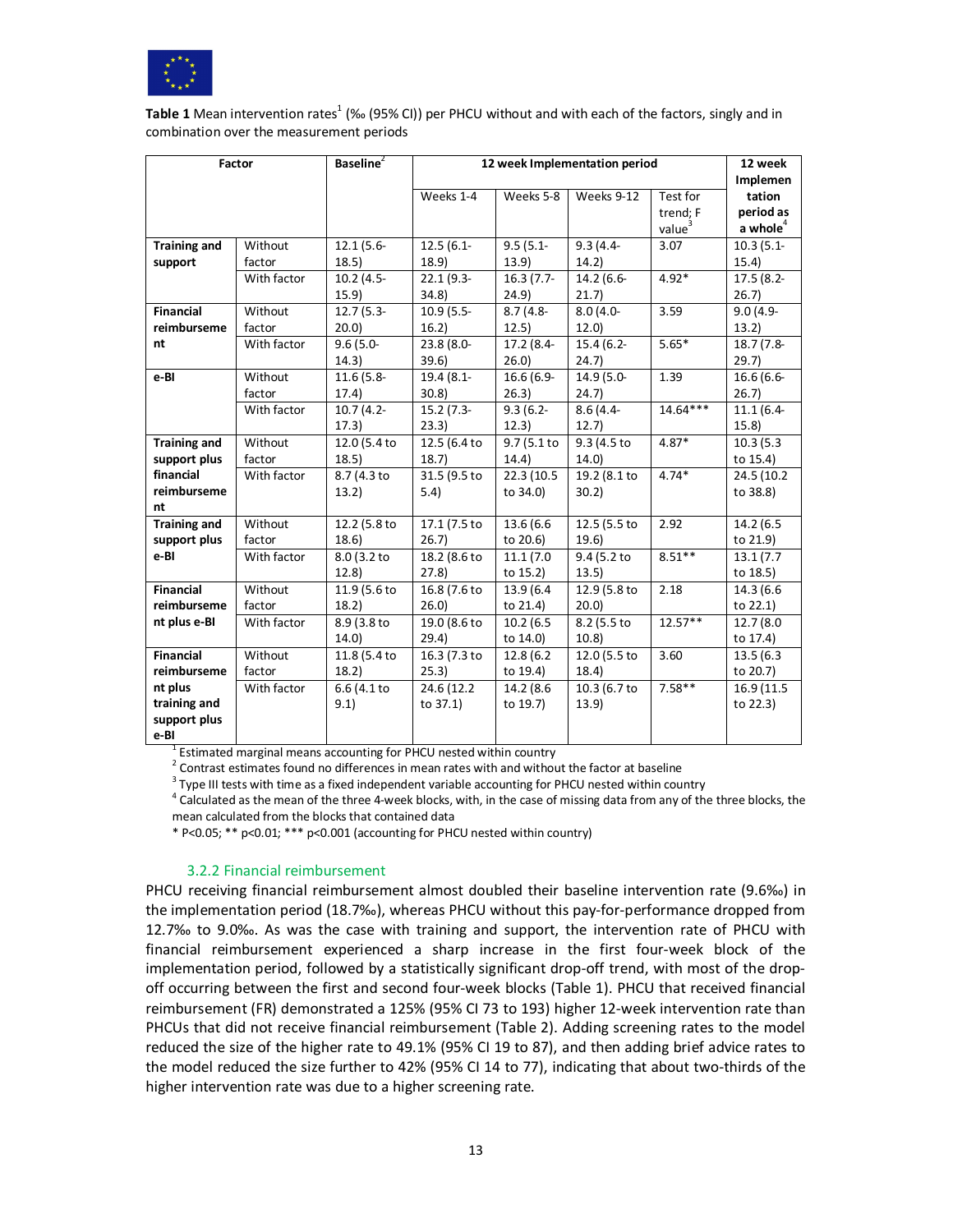

Table 1 Mean intervention rates<sup>1</sup> (‰ (95% CI)) per PHCU without and with each of the factors, singly and in combination over the measurement periods

| <b>Factor</b>       |             | <b>Baseline</b> <sup>2</sup> | 12 week Implementation period | 12 week                |                          |                    |              |
|---------------------|-------------|------------------------------|-------------------------------|------------------------|--------------------------|--------------------|--------------|
|                     |             |                              |                               |                        |                          | <b>Implemen</b>    |              |
|                     |             |                              | Weeks 1-4                     | Weeks 5-8              | Weeks 9-12               | Test for           | tation       |
|                     |             |                              |                               |                        |                          | trend; F           | period as    |
|                     |             |                              |                               |                        |                          | value <sup>3</sup> | a whole $4$  |
| <b>Training and</b> | Without     | $12.1(5.6 -$                 | $12.5(6.1 -$                  | $9.5(5.1 -$            | $9.3(4.4 -$              | 3.07               | $10.3(5.1 -$ |
| support             | factor      | 18.5)                        | 18.9)                         | 13.9)                  | 14.2)                    |                    | 15.4)        |
|                     | With factor | $10.2(4.5 -$                 | $22.1(9.3 -$                  | $16.3(7.7-$            | 14.2 (6.6-               | $4.92*$            | 17.5 (8.2-   |
|                     |             | 15.9)                        | 34.8)                         | 24.9)                  | 21.7)                    |                    | 26.7         |
| <b>Financial</b>    | Without     | $12.7(5.3 -$                 | $10.9(5.5-$                   | $8.7(4.8 -$            | $8.0(4.0 -$              | 3.59               | $9.0(4.9 -$  |
| reimburseme         | factor      | 20.0)                        | 16.2)                         | 12.5)                  | 12.0                     |                    | 13.2)        |
| nt                  | With factor | $9.6(5.0 -$                  | 23.8 (8.0-                    | 17.2 (8.4-             | $15.4(6.2 -$             | $5.65*$            | 18.7 (7.8-   |
|                     |             | 14.3)                        | 39.6)                         | 26.0)                  | 24.7)                    |                    | 29.7         |
| e-BI                | Without     | $11.6(5.8 -$                 | 19.4 (8.1-                    | $16.6(6.9-$            | 14.9 (5.0-               | 1.39               | $16.6(6.6 -$ |
|                     | factor      | 17.4)                        | 30.8                          | 26.3)                  | 24.7)                    |                    | 26.7         |
|                     | With factor | $10.7(4.2 -$                 | $15.2(7.3-$                   | $\overline{9.3}$ (6.2- | $8.6(4.4-$               | $14.64***$         | $11.1(6.4 -$ |
|                     |             | 17.3)                        | 23.3)                         | 12.3)                  | 12.7                     |                    | 15.8         |
| <b>Training and</b> | Without     | 12.0 (5.4 to                 | 12.5 (6.4 to                  | 9.7(5.1 to             | $\overline{9.3}$ (4.5 to | $4.87*$            | 10.3(5.3)    |
| support plus        | factor      | 18.5)                        | 18.7)                         | 14.4)                  | 14.0                     |                    | to 15.4)     |
| financial           | With factor | 8.7 (4.3 to                  | 31.5 (9.5 to                  | 22.3 (10.5             | 19.2 (8.1 to             | $4.74*$            | 24.5 (10.2)  |
| reimburseme         |             | 13.2)                        | 5.4)                          | to 34.0)               | 30.2                     |                    | to 38.8)     |
| nt                  |             |                              |                               |                        |                          |                    |              |
| <b>Training and</b> | Without     | 12.2 (5.8 to                 | 17.1 (7.5 to                  | 13.6 (6.6)             | 12.5 (5.5 to             | 2.92               | 14.2 (6.5)   |
| support plus        | factor      | 18.6)                        | 26.7)                         | to 20.6)               | 19.6)                    |                    | to 21.9)     |
| e-BI                | With factor | 8.0 (3.2 to                  | $18.2(8.6 \text{ to }$        | 11.1(7.0)              | 9.4 (5.2 to              | $8.51**$           | 13.1(7.7)    |
|                     |             | 12.8                         | 27.8                          | to 15.2)               | 13.5)                    |                    | to 18.5)     |
| <b>Financial</b>    | Without     | 11.9 (5.6 to                 | 16.8 (7.6 to                  | 13.9 (6.4)             | 12.9 (5.8 to             | 2.18               | 14.3 (6.6)   |
| reimburseme         | factor      | 18.2)                        | 26.0                          | to 21.4)               | 20.0                     |                    | to 22.1)     |
| nt plus e-BI        | With factor | 8.9 (3.8 to                  | 19.0 (8.6 to                  | 10.2(6.5)              | 8.2 (5.5 to              | $12.57**$          | 12.7 (8.0)   |
|                     |             | 14.0)                        | 29.4)                         | to 14.0)               | 10.8                     |                    | to 17.4)     |
| <b>Financial</b>    | Without     | 11.8 (5.4 to                 | 16.3(7.3 to                   | 12.8 (6.2)             | 12.0 (5.5 to             | 3.60               | 13.5(6.3)    |
| reimburseme         | factor      | 18.2)                        | 25.3)                         | to 19.4)               | 18.4)                    |                    | to 20.7)     |
| nt plus             | With factor | 6.6 (4.1 to                  | 24.6 (12.2)                   | 14.2 (8.6)             | 10.3 (6.7 to             | $7.58**$           | 16.9 (11.5   |
| training and        |             | 9.1)                         | to 37.1)                      | to 19.7)               | 13.9                     |                    | to 22.3)     |
| support plus        |             |                              |                               |                        |                          |                    |              |
| e-BI                |             |                              |                               |                        |                          |                    |              |

<sup>1</sup> Estimated marginal means accounting for PHCU nested within country

 $2$  Contrast estimates found no differences in mean rates with and without the factor at baseline

 $3$  Type III tests with time as a fixed independent variable accounting for PHCU nested within country

 $^4$  Calculated as the mean of the three 4-week blocks, with, in the case of missing data from any of the three blocks, the mean calculated from the blocks that contained data

\* P<0.05; \*\* p<0.01; \*\*\* p<0.001 (accounting for PHCU nested within country)

#### 3.2.2 Financial reimbursement

PHCU receiving financial reimbursement almost doubled their baseline intervention rate (9.6‰) in the implementation period (18.7‰), whereas PHCU without this pay-for-performance dropped from 12.7‰ to 9.0‰. As was the case with training and support, the intervention rate of PHCU with financial reimbursement experienced a sharp increase in the first four-week block of the implementation period, followed by a statistically significant drop-off trend, with most of the dropoff occurring between the first and second four-week blocks (Table 1). PHCU that received financial reimbursement (FR) demonstrated a 125% (95% CI 73 to 193) higher 12-week intervention rate than PHCUs that did not receive financial reimbursement (Table 2). Adding screening rates to the model reduced the size of the higher rate to 49.1% (95% CI 19 to 87), and then adding brief advice rates to the model reduced the size further to 42% (95% CI 14 to 77), indicating that about two-thirds of the higher intervention rate was due to a higher screening rate.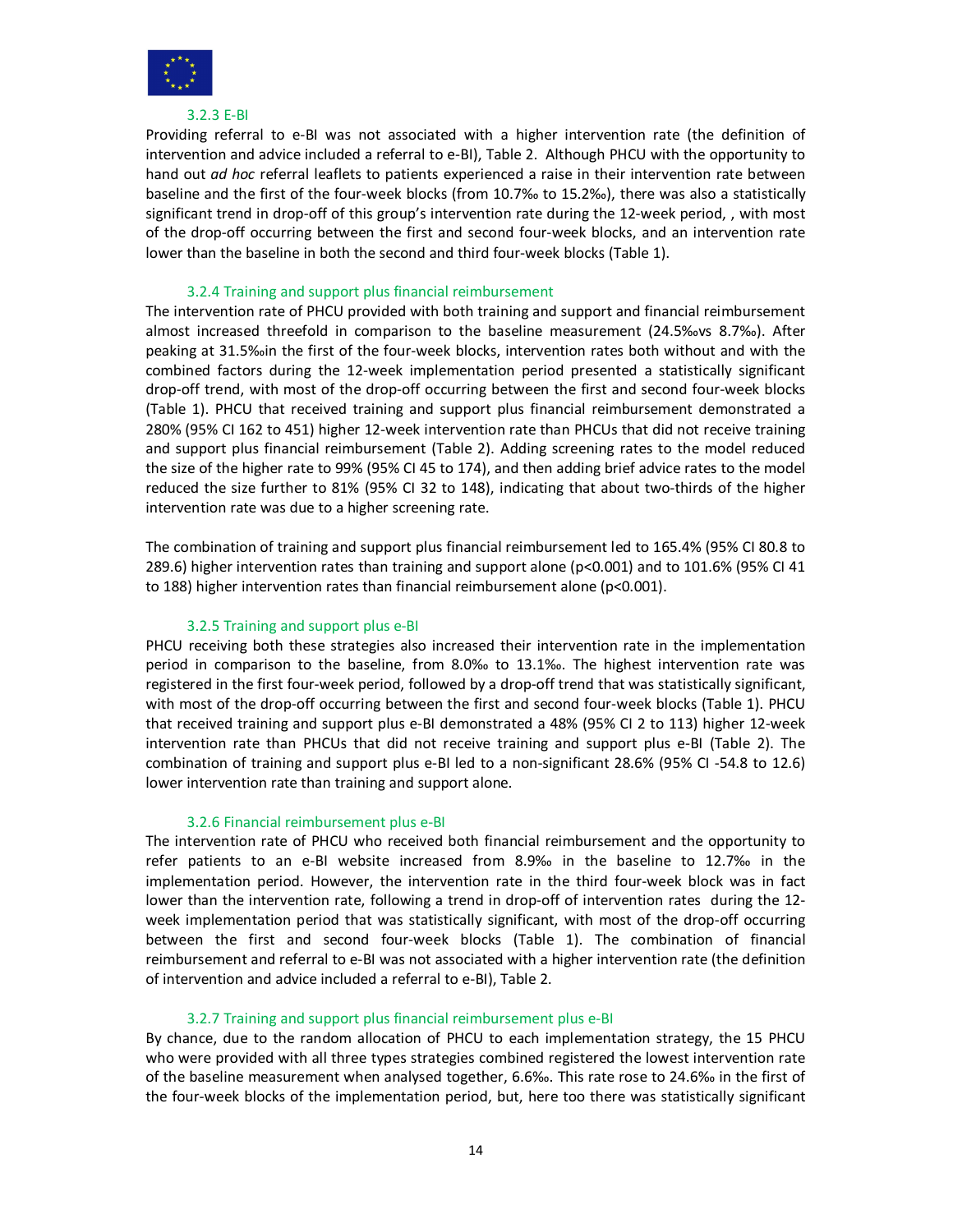

#### 3.2.3 E-BI

Providing referral to e-BI was not associated with a higher intervention rate (the definition of intervention and advice included a referral to e-BI), Table 2. Although PHCU with the opportunity to hand out *ad hoc* referral leaflets to patients experienced a raise in their intervention rate between baseline and the first of the four-week blocks (from 10.7‰ to 15.2‰), there was also a statistically significant trend in drop-off of this group's intervention rate during the 12-week period, , with most of the drop-off occurring between the first and second four-week blocks, and an intervention rate lower than the baseline in both the second and third four-week blocks (Table 1).

# 3.2.4 Training and support plus financial reimbursement

The intervention rate of PHCU provided with both training and support and financial reimbursement almost increased threefold in comparison to the baseline measurement (24.5‰vs 8.7‰). After peaking at 31.5‰in the first of the four-week blocks, intervention rates both without and with the combined factors during the 12-week implementation period presented a statistically significant drop-off trend, with most of the drop-off occurring between the first and second four-week blocks (Table 1). PHCU that received training and support plus financial reimbursement demonstrated a 280% (95% CI 162 to 451) higher 12-week intervention rate than PHCUs that did not receive training and support plus financial reimbursement (Table 2). Adding screening rates to the model reduced the size of the higher rate to 99% (95% CI 45 to 174), and then adding brief advice rates to the model reduced the size further to 81% (95% CI 32 to 148), indicating that about two-thirds of the higher intervention rate was due to a higher screening rate.

The combination of training and support plus financial reimbursement led to 165.4% (95% CI 80.8 to 289.6) higher intervention rates than training and support alone ( $p<0.001$ ) and to 101.6% (95% CI 41 to 188) higher intervention rates than financial reimbursement alone (p<0.001).

# 3.2.5 Training and support plus e-BI

PHCU receiving both these strategies also increased their intervention rate in the implementation period in comparison to the baseline, from 8.0‰ to 13.1‰. The highest intervention rate was registered in the first four-week period, followed by a drop-off trend that was statistically significant, with most of the drop-off occurring between the first and second four-week blocks (Table 1). PHCU that received training and support plus e-BI demonstrated a 48% (95% CI 2 to 113) higher 12-week intervention rate than PHCUs that did not receive training and support plus e-BI (Table 2). The combination of training and support plus e-BI led to a non-significant 28.6% (95% CI -54.8 to 12.6) lower intervention rate than training and support alone.

# 3.2.6 Financial reimbursement plus e-BI

The intervention rate of PHCU who received both financial reimbursement and the opportunity to refer patients to an e-BI website increased from 8.9‰ in the baseline to 12.7‰ in the implementation period. However, the intervention rate in the third four-week block was in fact lower than the intervention rate, following a trend in drop-off of intervention rates during the 12 week implementation period that was statistically significant, with most of the drop-off occurring between the first and second four-week blocks (Table 1). The combination of financial reimbursement and referral to e-BI was not associated with a higher intervention rate (the definition of intervention and advice included a referral to e-BI), Table 2.

# 3.2.7 Training and support plus financial reimbursement plus e-BI

By chance, due to the random allocation of PHCU to each implementation strategy, the 15 PHCU who were provided with all three types strategies combined registered the lowest intervention rate of the baseline measurement when analysed together, 6.6‰. This rate rose to 24.6‰ in the first of the four-week blocks of the implementation period, but, here too there was statistically significant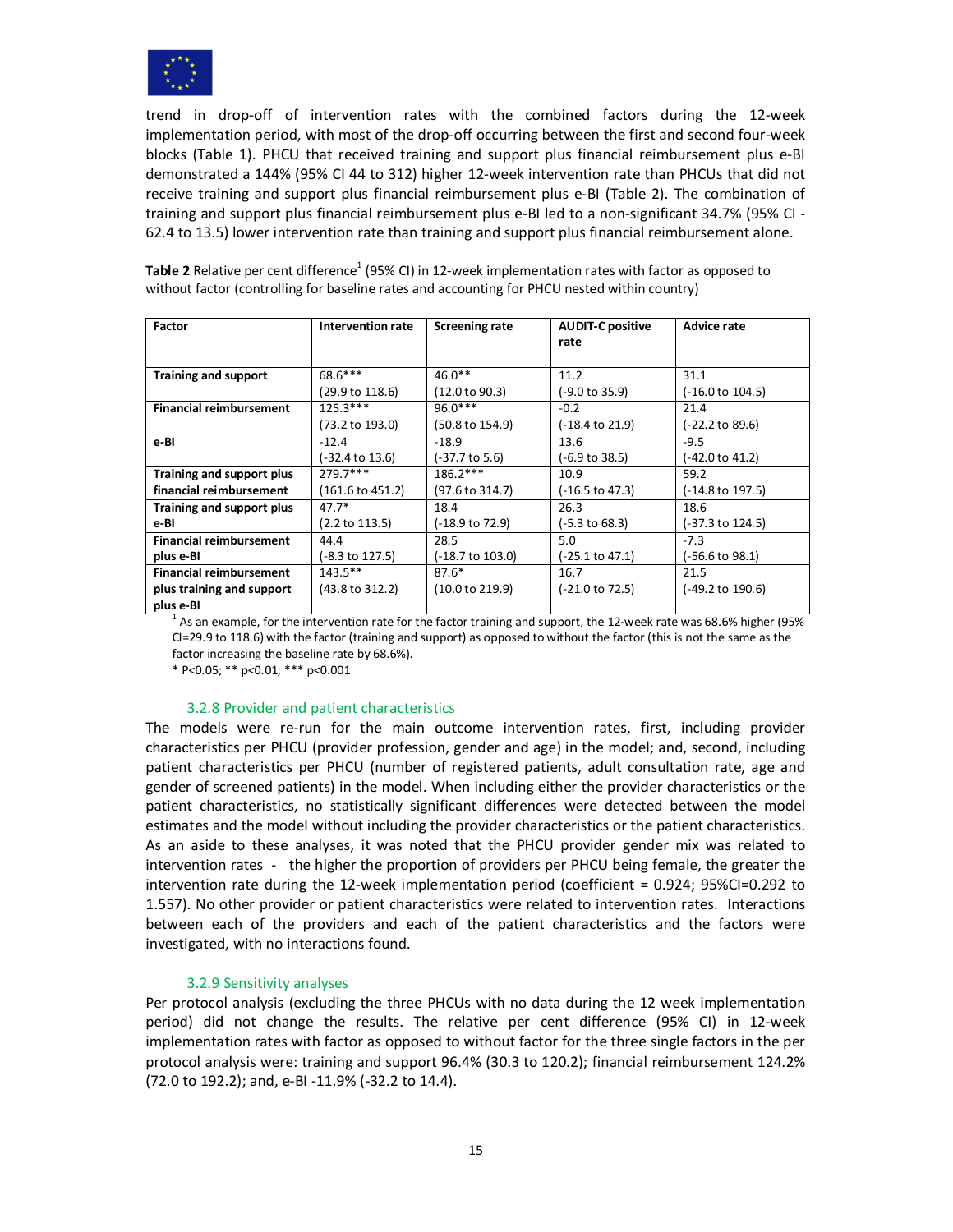

trend in drop-off of intervention rates with the combined factors during the 12-week implementation period, with most of the drop-off occurring between the first and second four-week blocks (Table 1). PHCU that received training and support plus financial reimbursement plus e-BI demonstrated a 144% (95% CI 44 to 312) higher 12-week intervention rate than PHCUs that did not receive training and support plus financial reimbursement plus e-BI (Table 2). The combination of training and support plus financial reimbursement plus e-BI led to a non-significant 34.7% (95% CI - 62.4 to 13.5) lower intervention rate than training and support plus financial reimbursement alone.

| <b>Factor</b>                  | Intervention rate          | <b>Screening rate</b> | <b>AUDIT-C positive</b> | <b>Advice rate</b>          |
|--------------------------------|----------------------------|-----------------------|-------------------------|-----------------------------|
|                                |                            |                       | rate                    |                             |
|                                |                            |                       |                         |                             |
| <b>Training and support</b>    | 68.6***                    | $46.0**$              | 11.2                    | 31.1                        |
|                                | (29.9 to 118.6)            | (12.0 to 90.3)        | (-9.0 to 35.9)          | $(-16.0 \text{ to } 104.5)$ |
| <b>Financial reimbursement</b> | $125.3***$                 | $96.0***$             | $-0.2$                  | 21.4                        |
|                                | (73.2 to 193.0)            | (50.8 to 154.9)       | (-18.4 to 21.9)         | (-22.2 to 89.6)             |
| e-Bl                           | $-12.4$                    | $-18.9$               | 13.6                    | $-9.5$                      |
|                                | (-32.4 to 13.6)            | (-37.7 to 5.6)        | (-6.9 to 38.5)          | (-42.0 to 41.2)             |
| Training and support plus      | $779.7***$                 | $186.2***$            | 10.9                    | 59.2                        |
| financial reimbursement        | (161.6 to 451.2)           | (97.6 to 314.7)       | (-16.5 to 47.3)         | (-14.8 to 197.5)            |
| Training and support plus      | $47.7*$                    | 18.4                  | 26.3                    | 18.6                        |
| e-BI                           | $(2.2 \text{ to } 113.5)$  | (-18.9 to 72.9)       | (-5.3 to 68.3)          | (-37.3 to 124.5)            |
| <b>Financial reimbursement</b> | 44.4                       | 28.5                  | 5.0                     | $-7.3$                      |
| plus e-BI                      | $(-8.3 \text{ to } 127.5)$ | (-18.7 to 103.0)      | (-25.1 to 47.1)         | (-56.6 to 98.1)             |
| <b>Financial reimbursement</b> | $143.5***$                 | $87.6*$               | 16.7                    | 21.5                        |
| plus training and support      | (43.8 to 312.2)            | (10.0 to 219.9)       | (-21.0 to 72.5)         | (-49.2 to 190.6)            |
| plus e-BI                      |                            |                       |                         |                             |

Table 2 Relative per cent difference<sup>1</sup> (95% CI) in 12-week implementation rates with factor as opposed to without factor (controlling for baseline rates and accounting for PHCU nested within country)

 $1$  As an example, for the intervention rate for the factor training and support, the 12-week rate was 68.6% higher (95%) CI=29.9 to 118.6) with the factor (training and support) as opposed to without the factor (this is not the same as the factor increasing the baseline rate by 68.6%).

\* P<0.05; \*\* p<0.01; \*\*\* p<0.001

#### 3.2.8 Provider and patient characteristics

The models were re-run for the main outcome intervention rates, first, including provider characteristics per PHCU (provider profession, gender and age) in the model; and, second, including patient characteristics per PHCU (number of registered patients, adult consultation rate, age and gender of screened patients) in the model. When including either the provider characteristics or the patient characteristics, no statistically significant differences were detected between the model estimates and the model without including the provider characteristics or the patient characteristics. As an aside to these analyses, it was noted that the PHCU provider gender mix was related to intervention rates - the higher the proportion of providers per PHCU being female, the greater the intervention rate during the 12-week implementation period (coefficient = 0.924; 95%CI=0.292 to 1.557). No other provider or patient characteristics were related to intervention rates. Interactions between each of the providers and each of the patient characteristics and the factors were investigated, with no interactions found.

# 3.2.9 Sensitivity analyses

Per protocol analysis (excluding the three PHCUs with no data during the 12 week implementation period) did not change the results. The relative per cent difference (95% CI) in 12-week implementation rates with factor as opposed to without factor for the three single factors in the per protocol analysis were: training and support 96.4% (30.3 to 120.2); financial reimbursement 124.2% (72.0 to 192.2); and, e-BI -11.9% (-32.2 to 14.4).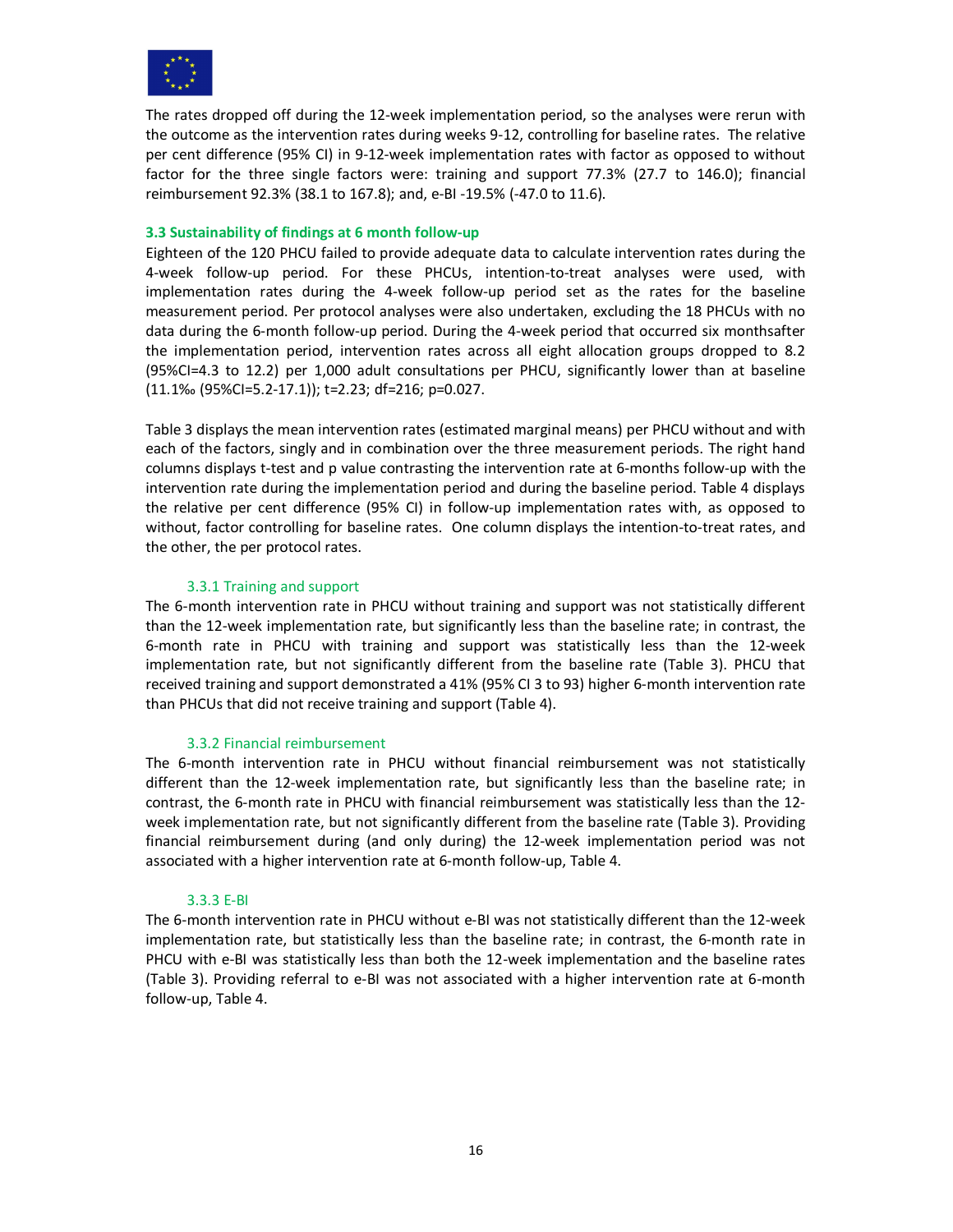

The rates dropped off during the 12-week implementation period, so the analyses were rerun with the outcome as the intervention rates during weeks 9-12, controlling for baseline rates. The relative per cent difference (95% CI) in 9-12-week implementation rates with factor as opposed to without factor for the three single factors were: training and support 77.3% (27.7 to 146.0); financial reimbursement 92.3% (38.1 to 167.8); and, e-BI -19.5% (-47.0 to 11.6).

### **3.3 Sustainability of findings at 6 month follow-up**

Eighteen of the 120 PHCU failed to provide adequate data to calculate intervention rates during the 4-week follow-up period. For these PHCUs, intention-to-treat analyses were used, with implementation rates during the 4-week follow-up period set as the rates for the baseline measurement period. Per protocol analyses were also undertaken, excluding the 18 PHCUs with no data during the 6-month follow-up period. During the 4-week period that occurred six monthsafter the implementation period, intervention rates across all eight allocation groups dropped to 8.2 (95%CI=4.3 to 12.2) per 1,000 adult consultations per PHCU, significantly lower than at baseline (11.1‰ (95%CI=5.2-17.1)); t=2.23; df=216; p=0.027.

Table 3 displays the mean intervention rates (estimated marginal means) per PHCU without and with each of the factors, singly and in combination over the three measurement periods. The right hand columns displays t-test and p value contrasting the intervention rate at 6-months follow-up with the intervention rate during the implementation period and during the baseline period. Table 4 displays the relative per cent difference (95% CI) in follow-up implementation rates with, as opposed to without, factor controlling for baseline rates. One column displays the intention-to-treat rates, and the other, the per protocol rates.

# 3.3.1 Training and support

The 6-month intervention rate in PHCU without training and support was not statistically different than the 12-week implementation rate, but significantly less than the baseline rate; in contrast, the 6-month rate in PHCU with training and support was statistically less than the 12-week implementation rate, but not significantly different from the baseline rate (Table 3). PHCU that received training and support demonstrated a 41% (95% CI 3 to 93) higher 6-month intervention rate than PHCUs that did not receive training and support (Table 4).

# 3.3.2 Financial reimbursement

The 6-month intervention rate in PHCU without financial reimbursement was not statistically different than the 12-week implementation rate, but significantly less than the baseline rate; in contrast, the 6-month rate in PHCU with financial reimbursement was statistically less than the 12 week implementation rate, but not significantly different from the baseline rate (Table 3). Providing financial reimbursement during (and only during) the 12-week implementation period was not associated with a higher intervention rate at 6-month follow-up, Table 4.

# 3.3.3 E-BI

The 6-month intervention rate in PHCU without e-BI was not statistically different than the 12-week implementation rate, but statistically less than the baseline rate; in contrast, the 6-month rate in PHCU with e-BI was statistically less than both the 12-week implementation and the baseline rates (Table 3). Providing referral to e-BI was not associated with a higher intervention rate at 6-month follow-up, Table 4.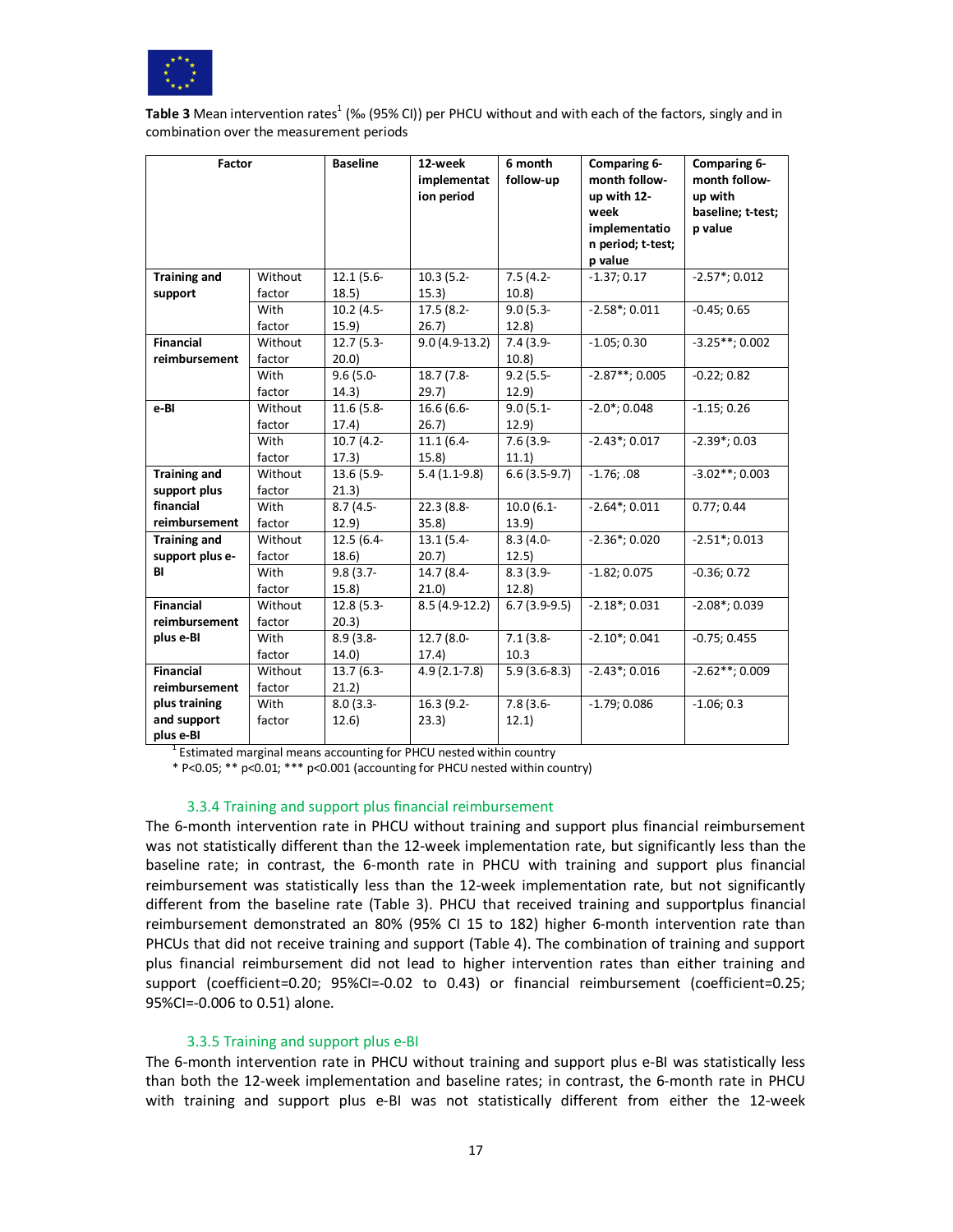

Table 3 Mean intervention rates<sup>1</sup> (‰ (95% CI)) per PHCU without and with each of the factors, singly and in combination over the measurement periods

| Factor              |         | <b>Baseline</b> | 12-week          | 6 month        | Comparing 6-                 | Comparing 6-                 |
|---------------------|---------|-----------------|------------------|----------------|------------------------------|------------------------------|
|                     |         |                 | implementat      | follow-up      | month follow-                | month follow-                |
|                     |         |                 | ion period       |                | up with 12-                  | up with                      |
|                     |         |                 |                  |                | week                         | baseline; t-test;            |
|                     |         |                 |                  |                | implementatio                | p value                      |
|                     |         |                 |                  |                | n period; t-test;            |                              |
|                     |         |                 |                  |                | p value                      |                              |
| <b>Training and</b> | Without | 12.1 (5.6-      | $10.3(5.2 -$     | $7.5(4.2 -$    | $-1.37; 0.17$                | $-2.57$ *; 0.012             |
| support             | factor  | 18.5)           | 15.3)            | 10.8           |                              |                              |
|                     | With    | 10.2 (4.5-      | $17.5(8.2 -$     | $9.0(5.3 -$    | $-2.58$ *; 0.011             | $-0.45; 0.65$                |
|                     | factor  | 15.9)           | 26.7)            | 12.8           |                              |                              |
| <b>Financial</b>    | Without | $12.7(5.3-$     | $9.0(4.9-13.2)$  | $7.4(3.9-$     | $-1.05; 0.30$                | $-3.25**$ ; 0.002            |
| reimbursement       | factor  | 20.0            |                  | 10.8           |                              |                              |
|                     | With    | $9.6(5.0 -$     | 18.7 (7.8-       | $9.2(5.5 -$    | $-2.87**$ ; 0.005            | $-0.22; 0.82$                |
|                     | factor  | 14.3)           | 29.7             | 12.9           |                              |                              |
| e-BI                | Without | 11.6 (5.8-      | 16.6 (6.6-       | $9.0(5.1 -$    | $-2.0$ *; 0.048              | $-1.15; 0.26$                |
|                     | factor  | 17.4)           | 26.7)            | 12.9           |                              |                              |
|                     | With    | $10.7(4.2 -$    | $11.1(6.4 -$     | $7.6(3.9-$     | $-2.43$ *; 0.017             | $-2.39$ <sup>*</sup> ; 0.03  |
|                     | factor  | 17.3)           | 15.8             | 11.1)          |                              |                              |
| <b>Training and</b> | Without | 13.6 (5.9-      | $5.4(1.1-9.8)$   | $6.6(3.5-9.7)$ | $-1.76:08$                   | $-3.02**$ ; 0.003            |
| support plus        | factor  | 21.3)           |                  |                |                              |                              |
| financial           | With    | $8.7(4.5 -$     | $22.3(8.8 -$     | $10.0(6.1 -$   | $-2.64$ *; 0.011             | 0.77:0.44                    |
| reimbursement       | factor  | 12.9)           | 35.8             | 13.9)          |                              |                              |
| <b>Training and</b> | Without | 12.5 (6.4-      | $13.1(5.4-$      | $8.3(4.0 -$    | $-2.36$ *; 0.020             | $-2.51$ *; 0.013             |
| support plus e-     | factor  | 18.6)           | 20.7             | 12.5)          |                              |                              |
| BI                  | With    | $9.8(3.7 -$     | 14.7 (8.4-       | $8.3(3.9 -$    | $-1.82; 0.075$               | $-0.36; 0.72$                |
|                     | factor  | 15.8            | 21.0             | 12.8           |                              |                              |
| <b>Financial</b>    | Without | $12.8(5.3-$     | $8.5(4.9-12.2)$  | $6.7(3.9-9.5)$ | $-2.18$ *; 0.031             | $-2.08$ <sup>*</sup> ; 0.039 |
| reimbursement       | factor  | 20.3)           |                  |                |                              |                              |
| plus e-BI           | With    | $8.9(3.8 -$     | 12.7 (8.0-       | $7.1(3.8 -$    | $-2.10$ <sup>*</sup> ; 0.041 | $-0.75; 0.455$               |
|                     | factor  | 14.0            | 17.4)            | 10.3           |                              |                              |
| <b>Financial</b>    | Without | $13.7(6.3 -$    | $4.9(2.1 - 7.8)$ | $5.9(3.6-8.3)$ | $-2.43$ *; 0.016             | $-2.62**$ ; 0.009            |
| reimbursement       | factor  | 21.2)           |                  |                |                              |                              |
| plus training       | With    | $8.0(3.3 -$     | 16.3 (9.2-       | $7.8(3.6 -$    | $-1.79;0.086$                | $-1.06; 0.3$                 |
| and support         | factor  | 12.6)           | 23.3)            | 12.1)          |                              |                              |
| plus e-BI           |         |                 |                  |                |                              |                              |

<sup>1</sup> Estimated marginal means accounting for PHCU nested within country

\* P<0.05; \*\* p<0.01; \*\*\* p<0.001 (accounting for PHCU nested within country)

#### 3.3.4 Training and support plus financial reimbursement

The 6-month intervention rate in PHCU without training and support plus financial reimbursement was not statistically different than the 12-week implementation rate, but significantly less than the baseline rate; in contrast, the 6-month rate in PHCU with training and support plus financial reimbursement was statistically less than the 12-week implementation rate, but not significantly different from the baseline rate (Table 3). PHCU that received training and supportplus financial reimbursement demonstrated an 80% (95% CI 15 to 182) higher 6-month intervention rate than PHCUs that did not receive training and support (Table 4). The combination of training and support plus financial reimbursement did not lead to higher intervention rates than either training and support (coefficient=0.20; 95%CI=-0.02 to 0.43) or financial reimbursement (coefficient=0.25; 95%CI=-0.006 to 0.51) alone.

# 3.3.5 Training and support plus e-BI

The 6-month intervention rate in PHCU without training and support plus e-BI was statistically less than both the 12-week implementation and baseline rates; in contrast, the 6-month rate in PHCU with training and support plus e-BI was not statistically different from either the 12-week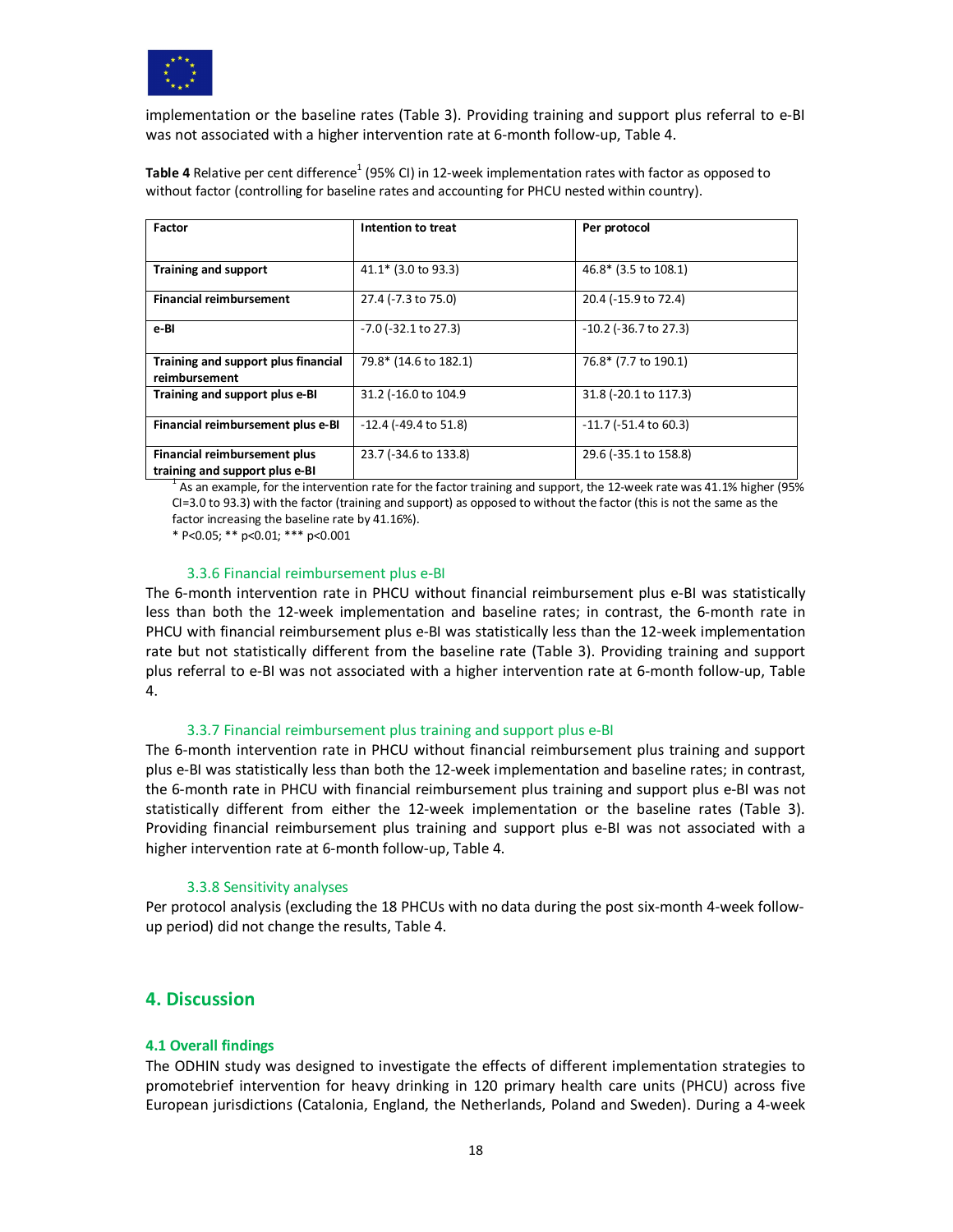

implementation or the baseline rates (Table 3). Providing training and support plus referral to e-BI was not associated with a higher intervention rate at 6-month follow-up, Table 4.

Table 4 Relative per cent difference<sup>1</sup> (95% CI) in 12-week implementation rates with factor as opposed to without factor (controlling for baseline rates and accounting for PHCU nested within country).

| Factor                                                         | Intention to treat        | Per protocol               |  |
|----------------------------------------------------------------|---------------------------|----------------------------|--|
|                                                                |                           |                            |  |
| <b>Training and support</b>                                    | $41.1*$ (3.0 to 93.3)     | 46.8* (3.5 to 108.1)       |  |
| <b>Financial reimbursement</b>                                 | 27.4 (-7.3 to 75.0)       | 20.4 (-15.9 to 72.4)       |  |
| e-BI                                                           | $-7.0$ ( $-32.1$ to 27.3) | $-10.2$ ( $-36.7$ to 27.3) |  |
| Training and support plus financial<br>reimbursement           | 79.8* (14.6 to 182.1)     | 76.8* (7.7 to 190.1)       |  |
| Training and support plus e-BI                                 | 31.2 (-16.0 to 104.9)     | 31.8 (-20.1 to 117.3)      |  |
| Financial reimbursement plus e-BI                              | $-12.4$ (-49.4 to 51.8)   | $-11.7$ ( $-51.4$ to 60.3) |  |
| Financial reimbursement plus<br>training and support plus e-BI | 23.7 (-34.6 to 133.8)     | 29.6 (-35.1 to 158.8)      |  |

 $^1$  As an example, for the intervention rate for the factor training and support, the 12-week rate was 41.1% higher (95%) CI=3.0 to 93.3) with the factor (training and support) as opposed to without the factor (this is not the same as the factor increasing the baseline rate by 41.16%).

\* P<0.05; \*\* p<0.01; \*\*\* p<0.001

#### 3.3.6 Financial reimbursement plus e-BI

The 6-month intervention rate in PHCU without financial reimbursement plus e-BI was statistically less than both the 12-week implementation and baseline rates; in contrast, the 6-month rate in PHCU with financial reimbursement plus e-BI was statistically less than the 12-week implementation rate but not statistically different from the baseline rate (Table 3). Providing training and support plus referral to e-BI was not associated with a higher intervention rate at 6-month follow-up, Table 4.

#### 3.3.7 Financial reimbursement plus training and support plus e-BI

The 6-month intervention rate in PHCU without financial reimbursement plus training and support plus e-BI was statistically less than both the 12-week implementation and baseline rates; in contrast, the 6-month rate in PHCU with financial reimbursement plus training and support plus e-BI was not statistically different from either the 12-week implementation or the baseline rates (Table 3). Providing financial reimbursement plus training and support plus e-BI was not associated with a higher intervention rate at 6-month follow-up, Table 4.

#### 3.3.8 Sensitivity analyses

Per protocol analysis (excluding the 18 PHCUs with no data during the post six-month 4-week followup period) did not change the results, Table 4.

# **4. Discussion**

#### **4.1 Overall findings**

The ODHIN study was designed to investigate the effects of different implementation strategies to promotebrief intervention for heavy drinking in 120 primary health care units (PHCU) across five European jurisdictions (Catalonia, England, the Netherlands, Poland and Sweden). During a 4-week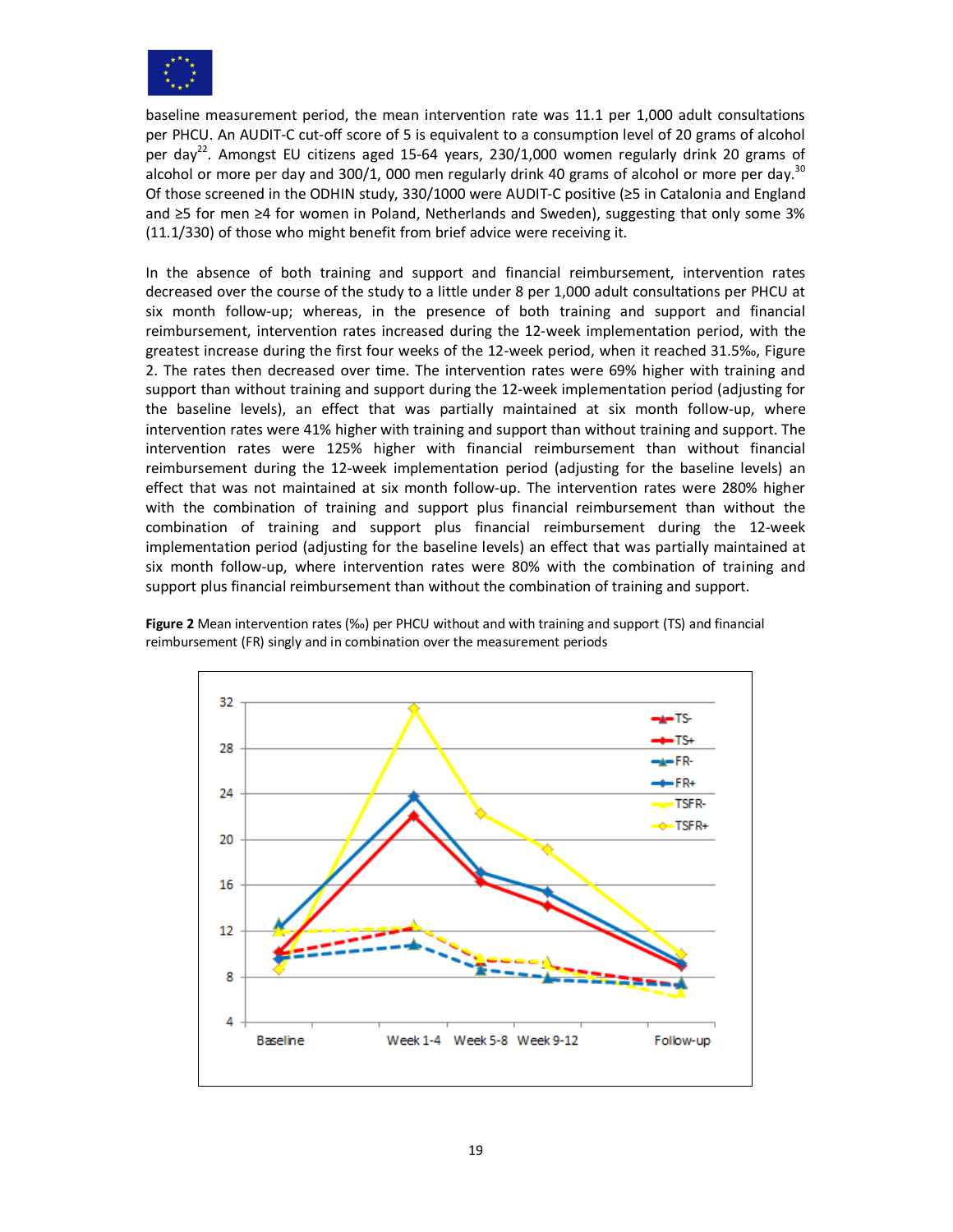

baseline measurement period, the mean intervention rate was 11.1 per 1,000 adult consultations per PHCU. An AUDIT-C cut-off score of 5 is equivalent to a consumption level of 20 grams of alcohol per day<sup>22</sup>. Amongst EU citizens aged 15-64 years, 230/1,000 women regularly drink 20 grams of alcohol or more per day and 300/1, 000 men regularly drink 40 grams of alcohol or more per day.<sup>30</sup> Of those screened in the ODHIN study, 330/1000 were AUDIT-C positive (≥5 in Catalonia and England and ≥5 for men ≥4 for women in Poland, Netherlands and Sweden), suggesting that only some 3% (11.1/330) of those who might benefit from brief advice were receiving it.

In the absence of both training and support and financial reimbursement, intervention rates decreased over the course of the study to a little under 8 per 1,000 adult consultations per PHCU at six month follow-up; whereas, in the presence of both training and support and financial reimbursement, intervention rates increased during the 12-week implementation period, with the greatest increase during the first four weeks of the 12-week period, when it reached 31.5‰, Figure 2. The rates then decreased over time. The intervention rates were 69% higher with training and support than without training and support during the 12-week implementation period (adjusting for the baseline levels), an effect that was partially maintained at six month follow-up, where intervention rates were 41% higher with training and support than without training and support. The intervention rates were 125% higher with financial reimbursement than without financial reimbursement during the 12-week implementation period (adjusting for the baseline levels) an effect that was not maintained at six month follow-up. The intervention rates were 280% higher with the combination of training and support plus financial reimbursement than without the combination of training and support plus financial reimbursement during the 12-week implementation period (adjusting for the baseline levels) an effect that was partially maintained at six month follow-up, where intervention rates were 80% with the combination of training and support plus financial reimbursement than without the combination of training and support.

**Figure 2** Mean intervention rates (‰) per PHCU without and with training and support (TS) and financial reimbursement (FR) singly and in combination over the measurement periods

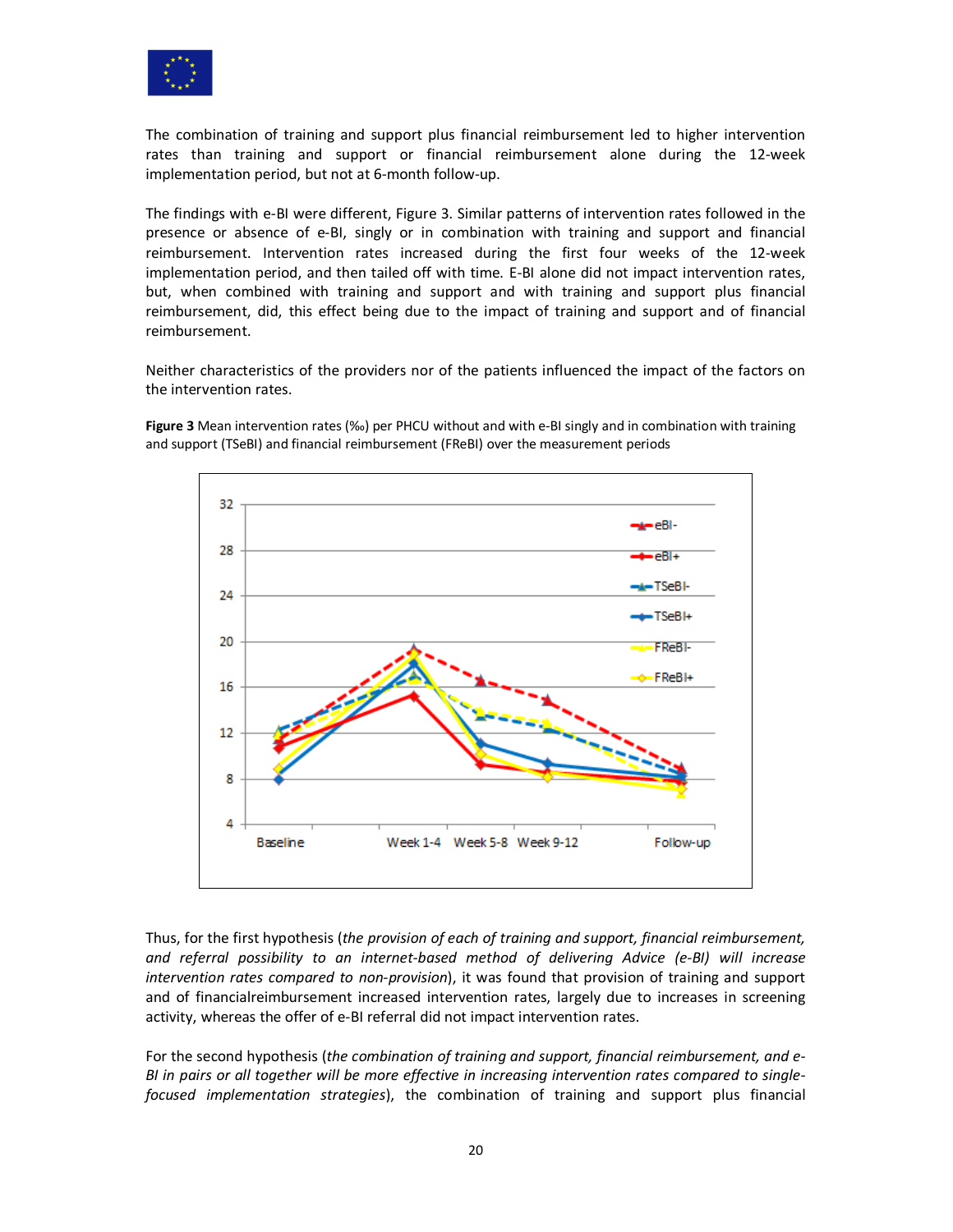

The combination of training and support plus financial reimbursement led to higher intervention rates than training and support or financial reimbursement alone during the 12-week implementation period, but not at 6-month follow-up.

The findings with e-BI were different, Figure 3. Similar patterns of intervention rates followed in the presence or absence of e-BI, singly or in combination with training and support and financial reimbursement. Intervention rates increased during the first four weeks of the 12-week implementation period, and then tailed off with time. E-BI alone did not impact intervention rates, but, when combined with training and support and with training and support plus financial reimbursement, did, this effect being due to the impact of training and support and of financial reimbursement.

Neither characteristics of the providers nor of the patients influenced the impact of the factors on the intervention rates.

**Figure 3** Mean intervention rates (‰) per PHCU without and with e-BI singly and in combination with training and support (TSeBI) and financial reimbursement (FReBI) over the measurement periods



Thus, for the first hypothesis (*the provision of each of training and support, financial reimbursement, and referral possibility to an internet-based method of delivering Advice (e-BI) will increase intervention rates compared to non-provision*), it was found that provision of training and support and of financialreimbursement increased intervention rates, largely due to increases in screening activity, whereas the offer of e-BI referral did not impact intervention rates.

For the second hypothesis (*the combination of training and support, financial reimbursement, and e-BI in pairs or all together will be more effective in increasing intervention rates compared to singlefocused implementation strategies*), the combination of training and support plus financial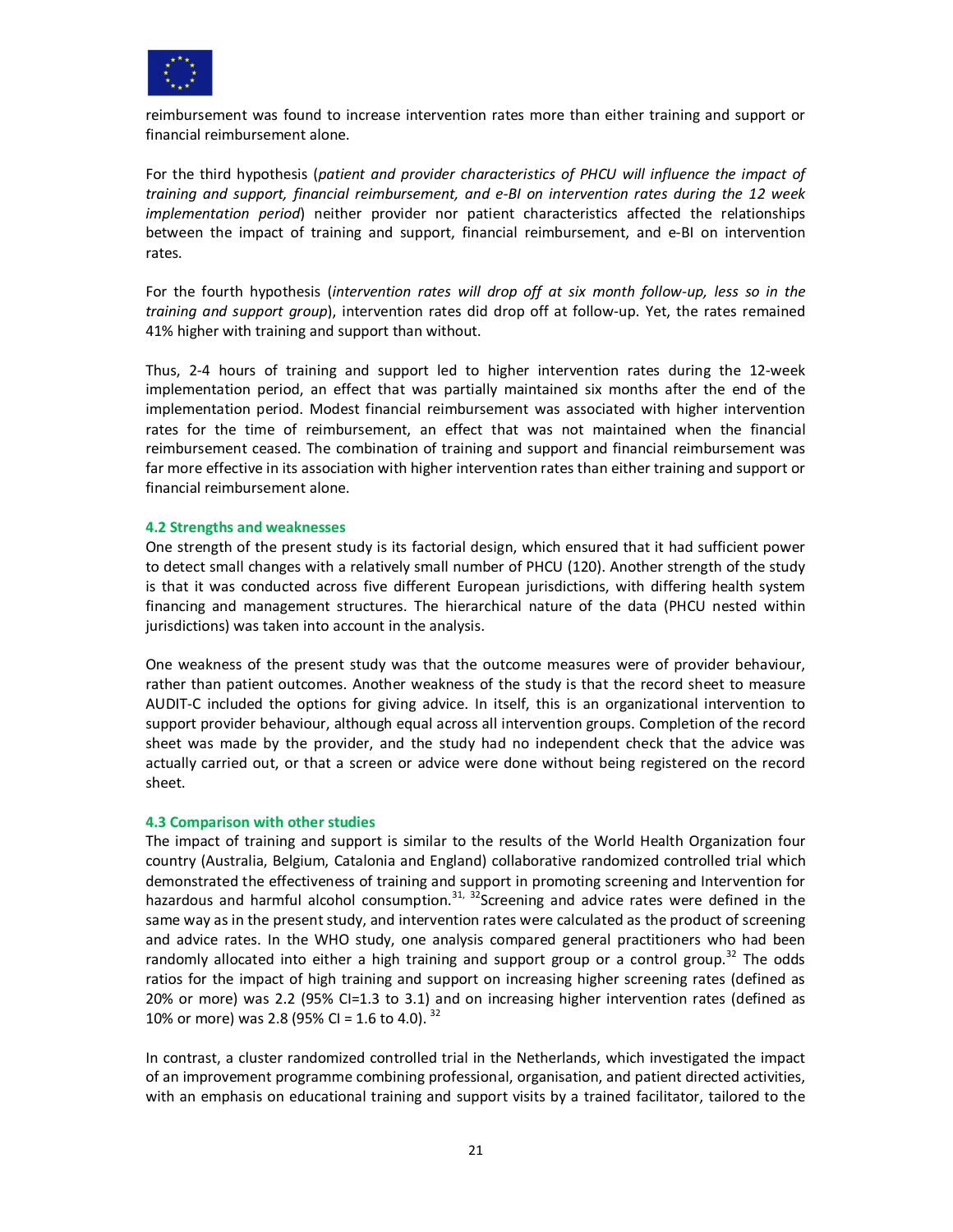

reimbursement was found to increase intervention rates more than either training and support or financial reimbursement alone.

For the third hypothesis (*patient and provider characteristics of PHCU will influence the impact of training and support, financial reimbursement, and e-BI on intervention rates during the 12 week implementation period*) neither provider nor patient characteristics affected the relationships between the impact of training and support, financial reimbursement, and e-BI on intervention rates.

For the fourth hypothesis (*intervention rates will drop off at six month follow-up, less so in the training and support group*), intervention rates did drop off at follow-up. Yet, the rates remained 41% higher with training and support than without.

Thus, 2-4 hours of training and support led to higher intervention rates during the 12-week implementation period, an effect that was partially maintained six months after the end of the implementation period. Modest financial reimbursement was associated with higher intervention rates for the time of reimbursement, an effect that was not maintained when the financial reimbursement ceased. The combination of training and support and financial reimbursement was far more effective in its association with higher intervention rates than either training and support or financial reimbursement alone.

#### **4.2 Strengths and weaknesses**

One strength of the present study is its factorial design, which ensured that it had sufficient power to detect small changes with a relatively small number of PHCU (120). Another strength of the study is that it was conducted across five different European jurisdictions, with differing health system financing and management structures. The hierarchical nature of the data (PHCU nested within jurisdictions) was taken into account in the analysis.

One weakness of the present study was that the outcome measures were of provider behaviour, rather than patient outcomes. Another weakness of the study is that the record sheet to measure AUDIT-C included the options for giving advice. In itself, this is an organizational intervention to support provider behaviour, although equal across all intervention groups. Completion of the record sheet was made by the provider, and the study had no independent check that the advice was actually carried out, or that a screen or advice were done without being registered on the record sheet.

#### **4.3 Comparison with other studies**

The impact of training and support is similar to the results of the World Health Organization four country (Australia, Belgium, Catalonia and England) collaborative randomized controlled trial which demonstrated the effectiveness of training and support in promoting screening and Intervention for hazardous and harmful alcohol consumption.<sup>31, 32</sup>Screening and advice rates were defined in the same way as in the present study, and intervention rates were calculated as the product of screening and advice rates. In the WHO study, one analysis compared general practitioners who had been randomly allocated into either a high training and support group or a control group.<sup>32</sup> The odds ratios for the impact of high training and support on increasing higher screening rates (defined as 20% or more) was 2.2 (95% CI=1.3 to 3.1) and on increasing higher intervention rates (defined as 10% or more) was 2.8 (95% CI = 1.6 to 4.0).  $32$ 

In contrast, a cluster randomized controlled trial in the Netherlands, which investigated the impact of an improvement programme combining professional, organisation, and patient directed activities, with an emphasis on educational training and support visits by a trained facilitator, tailored to the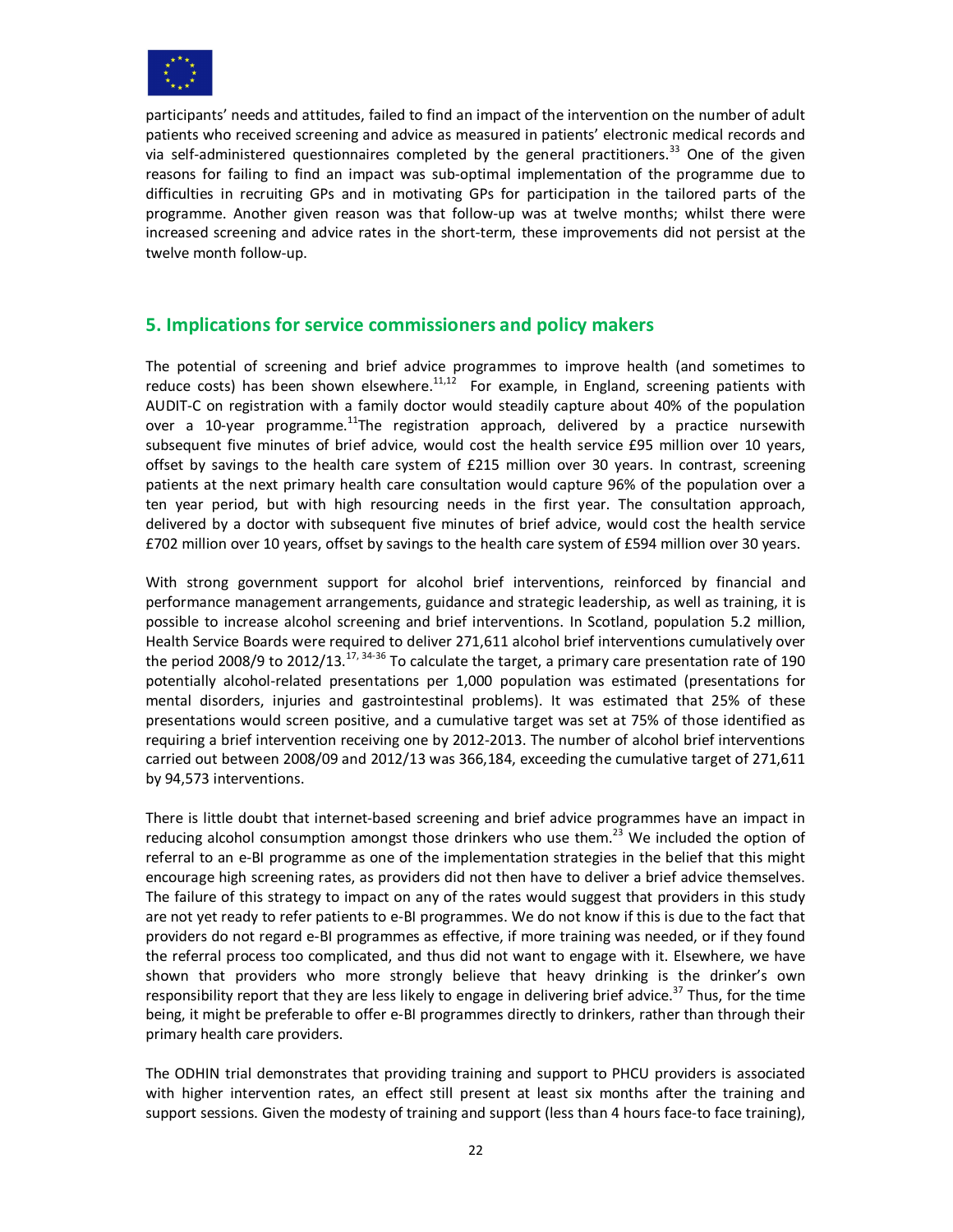

participants' needs and attitudes, failed to find an impact of the intervention on the number of adult patients who received screening and advice as measured in patients' electronic medical records and via self-administered questionnaires completed by the general practitioners.<sup>33</sup> One of the given reasons for failing to find an impact was sub-optimal implementation of the programme due to difficulties in recruiting GPs and in motivating GPs for participation in the tailored parts of the programme. Another given reason was that follow-up was at twelve months; whilst there were increased screening and advice rates in the short-term, these improvements did not persist at the twelve month follow-up.

# **5. Implications for service commissioners and policy makers**

The potential of screening and brief advice programmes to improve health (and sometimes to reduce costs) has been shown elsewhere.<sup>11,12</sup> For example, in England, screening patients with AUDIT-C on registration with a family doctor would steadily capture about 40% of the population over a 10-year programme.<sup>11</sup>The registration approach, delivered by a practice nursewith subsequent five minutes of brief advice, would cost the health service £95 million over 10 years, offset by savings to the health care system of £215 million over 30 years. In contrast, screening patients at the next primary health care consultation would capture 96% of the population over a ten year period, but with high resourcing needs in the first year. The consultation approach, delivered by a doctor with subsequent five minutes of brief advice, would cost the health service £702 million over 10 years, offset by savings to the health care system of £594 million over 30 years.

With strong government support for alcohol brief interventions, reinforced by financial and performance management arrangements, guidance and strategic leadership, as well as training, it is possible to increase alcohol screening and brief interventions. In Scotland, population 5.2 million, Health Service Boards were required to deliver 271,611 alcohol brief interventions cumulatively over the period 2008/9 to 2012/13.<sup>17, 34-36</sup> To calculate the target, a primary care presentation rate of 190 potentially alcohol-related presentations per 1,000 population was estimated (presentations for mental disorders, injuries and gastrointestinal problems). It was estimated that 25% of these presentations would screen positive, and a cumulative target was set at 75% of those identified as requiring a brief intervention receiving one by 2012-2013. The number of alcohol brief interventions carried out between 2008/09 and 2012/13 was 366,184, exceeding the cumulative target of 271,611 by 94,573 interventions.

There is little doubt that internet-based screening and brief advice programmes have an impact in reducing alcohol consumption amongst those drinkers who use them.<sup>23</sup> We included the option of referral to an e-BI programme as one of the implementation strategies in the belief that this might encourage high screening rates, as providers did not then have to deliver a brief advice themselves. The failure of this strategy to impact on any of the rates would suggest that providers in this study are not yet ready to refer patients to e-BI programmes. We do not know if this is due to the fact that providers do not regard e-BI programmes as effective, if more training was needed, or if they found the referral process too complicated, and thus did not want to engage with it. Elsewhere, we have shown that providers who more strongly believe that heavy drinking is the drinker's own responsibility report that they are less likely to engage in delivering brief advice.<sup>37</sup> Thus, for the time being, it might be preferable to offer e-BI programmes directly to drinkers, rather than through their primary health care providers.

The ODHIN trial demonstrates that providing training and support to PHCU providers is associated with higher intervention rates, an effect still present at least six months after the training and support sessions. Given the modesty of training and support (less than 4 hours face-to face training),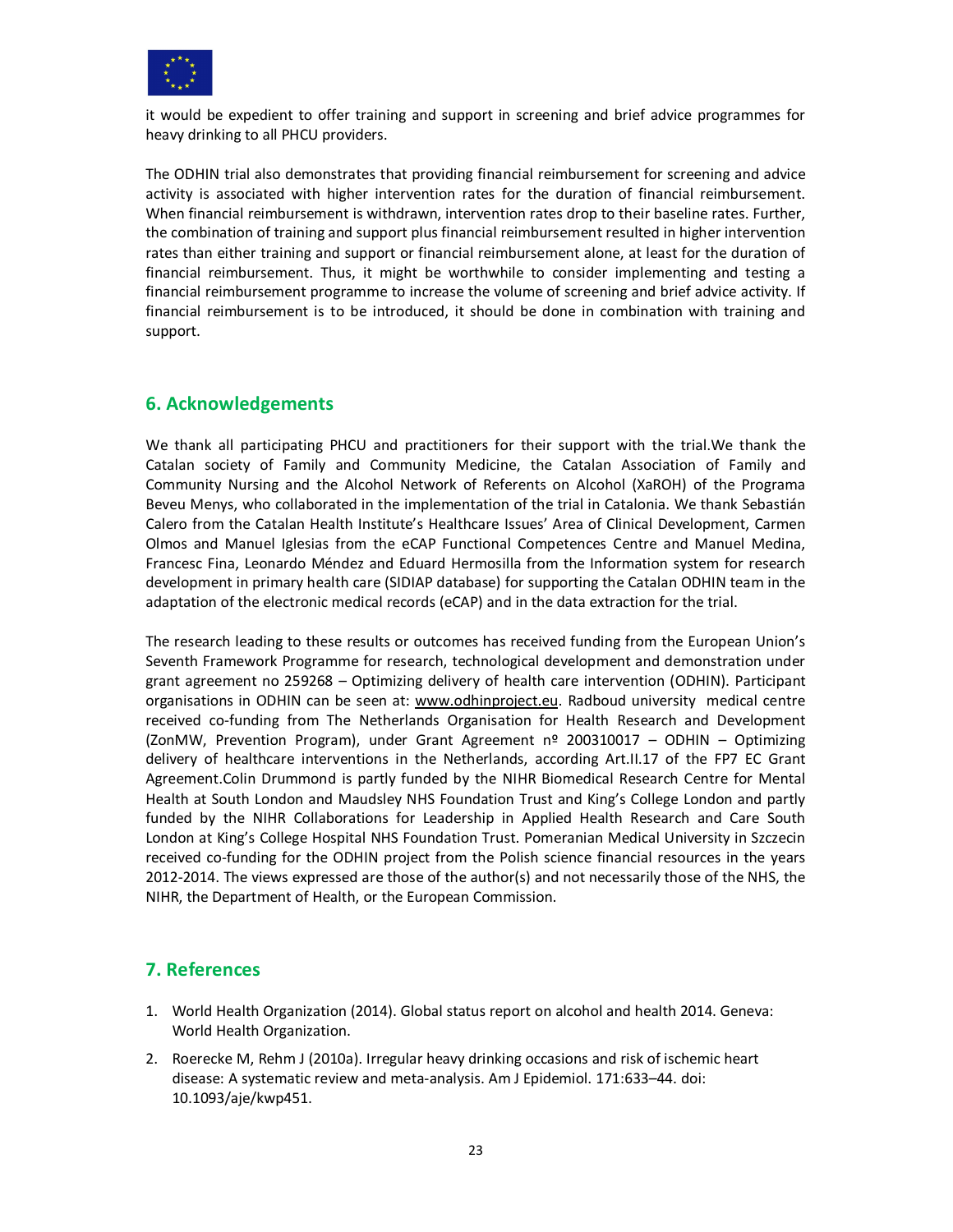

it would be expedient to offer training and support in screening and brief advice programmes for heavy drinking to all PHCU providers.

The ODHIN trial also demonstrates that providing financial reimbursement for screening and advice activity is associated with higher intervention rates for the duration of financial reimbursement. When financial reimbursement is withdrawn, intervention rates drop to their baseline rates. Further, the combination of training and support plus financial reimbursement resulted in higher intervention rates than either training and support or financial reimbursement alone, at least for the duration of financial reimbursement. Thus, it might be worthwhile to consider implementing and testing a financial reimbursement programme to increase the volume of screening and brief advice activity. If financial reimbursement is to be introduced, it should be done in combination with training and support.

# **6. Acknowledgements**

We thank all participating PHCU and practitioners for their support with the trial.We thank the Catalan society of Family and Community Medicine, the Catalan Association of Family and Community Nursing and the Alcohol Network of Referents on Alcohol (XaROH) of the Programa Beveu Menys, who collaborated in the implementation of the trial in Catalonia. We thank Sebastián Calero from the Catalan Health Institute's Healthcare Issues' Area of Clinical Development, Carmen Olmos and Manuel Iglesias from the eCAP Functional Competences Centre and Manuel Medina, Francesc Fina, Leonardo Méndez and Eduard Hermosilla from the Information system for research development in primary health care (SIDIAP database) for supporting the Catalan ODHIN team in the adaptation of the electronic medical records (eCAP) and in the data extraction for the trial.

The research leading to these results or outcomes has received funding from the European Union's Seventh Framework Programme for research, technological development and demonstration under grant agreement no 259268 – Optimizing delivery of health care intervention (ODHIN). Participant organisations in ODHIN can be seen at: www.odhinproject.eu. Radboud university medical centre received co-funding from The Netherlands Organisation for Health Research and Development (ZonMW, Prevention Program), under Grant Agreement nº 200310017 – ODHIN – Optimizing delivery of healthcare interventions in the Netherlands, according Art.II.17 of the FP7 EC Grant Agreement.Colin Drummond is partly funded by the NIHR Biomedical Research Centre for Mental Health at South London and Maudsley NHS Foundation Trust and King's College London and partly funded by the NIHR Collaborations for Leadership in Applied Health Research and Care South London at King's College Hospital NHS Foundation Trust. Pomeranian Medical University in Szczecin received co-funding for the ODHIN project from the Polish science financial resources in the years 2012-2014. The views expressed are those of the author(s) and not necessarily those of the NHS, the NIHR, the Department of Health, or the European Commission.

# **7. References**

- 1. World Health Organization (2014). Global status report on alcohol and health 2014. Geneva: World Health Organization.
- 2. Roerecke M, Rehm J (2010a). Irregular heavy drinking occasions and risk of ischemic heart disease: A systematic review and meta-analysis. Am J Epidemiol. 171:633–44. doi: 10.1093/aje/kwp451.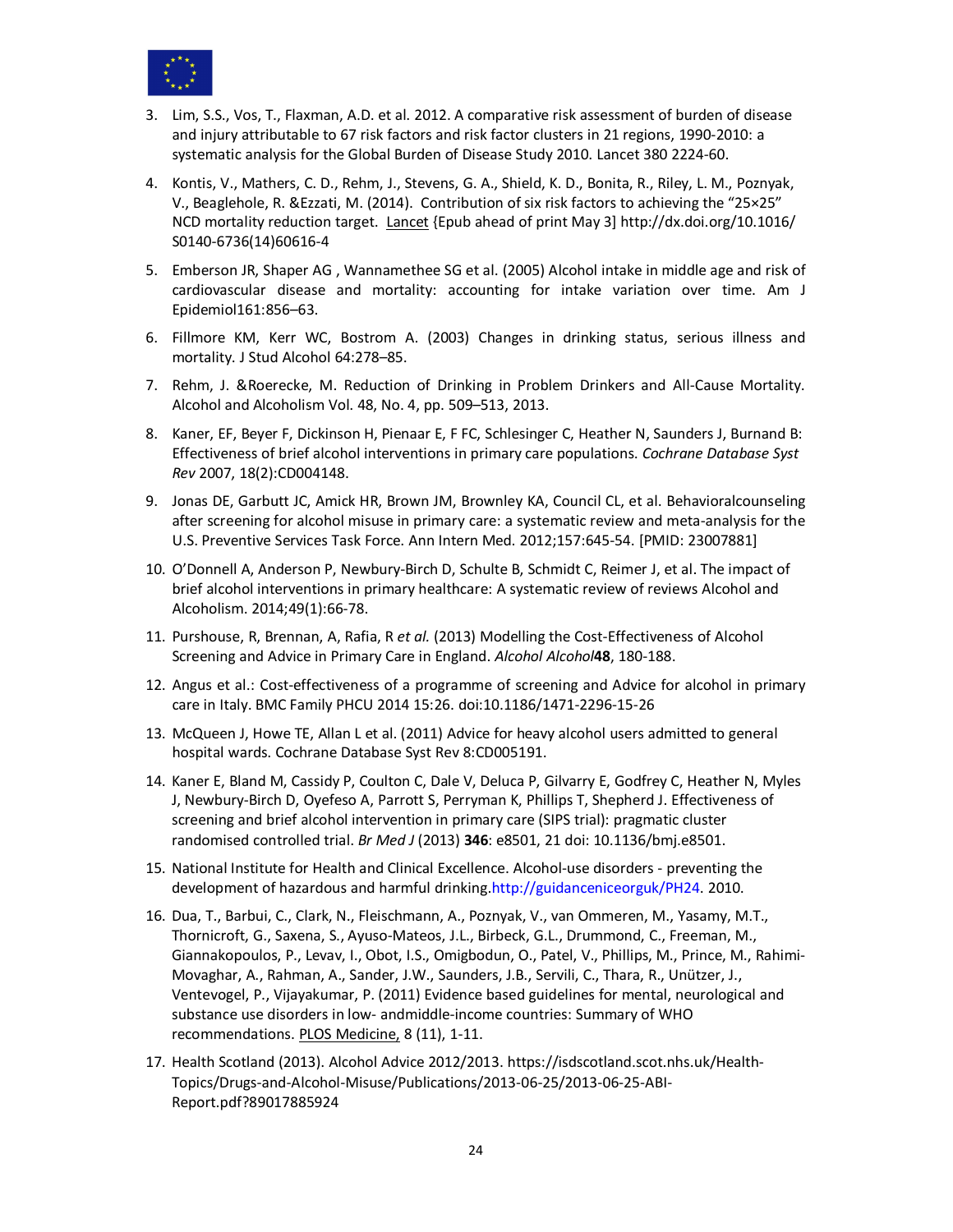

- 3. Lim, S.S., Vos, T., Flaxman, A.D. et al. 2012. A comparative risk assessment of burden of disease and injury attributable to 67 risk factors and risk factor clusters in 21 regions, 1990-2010: a systematic analysis for the Global Burden of Disease Study 2010. Lancet 380 2224-60.
- 4. Kontis, V., Mathers, C. D., Rehm, J., Stevens, G. A., Shield, K. D., Bonita, R., Riley, L. M., Poznyak, V., Beaglehole, R. &Ezzati, M. (2014). Contribution of six risk factors to achieving the "25×25" NCD mortality reduction target. Lancet {Epub ahead of print May 3] http://dx.doi.org/10.1016/ S0140-6736(14)60616-4
- 5. Emberson JR, Shaper AG , Wannamethee SG et al. (2005) Alcohol intake in middle age and risk of cardiovascular disease and mortality: accounting for intake variation over time. Am J Epidemiol161:856–63.
- 6. Fillmore KM, Kerr WC, Bostrom A. (2003) Changes in drinking status, serious illness and mortality. J Stud Alcohol 64:278–85.
- 7. Rehm, J. &Roerecke, M. Reduction of Drinking in Problem Drinkers and All-Cause Mortality. Alcohol and Alcoholism Vol. 48, No. 4, pp. 509–513, 2013.
- 8. Kaner, EF, Beyer F, Dickinson H, Pienaar E, F FC, Schlesinger C, Heather N, Saunders J, Burnand B: Effectiveness of brief alcohol interventions in primary care populations. *Cochrane Database Syst Rev* 2007, 18(2):CD004148.
- 9. Jonas DE, Garbutt JC, Amick HR, Brown JM, Brownley KA, Council CL, et al. Behavioralcounseling after screening for alcohol misuse in primary care: a systematic review and meta-analysis for the U.S. Preventive Services Task Force. Ann Intern Med. 2012;157:645-54. [PMID: 23007881]
- 10. O'Donnell A, Anderson P, Newbury-Birch D, Schulte B, Schmidt C, Reimer J, et al. The impact of brief alcohol interventions in primary healthcare: A systematic review of reviews Alcohol and Alcoholism. 2014;49(1):66-78.
- 11. Purshouse, R, Brennan, A, Rafia, R *et al.* (2013) Modelling the Cost-Effectiveness of Alcohol Screening and Advice in Primary Care in England. *Alcohol Alcohol***48**, 180-188.
- 12. Angus et al.: Cost-effectiveness of a programme of screening and Advice for alcohol in primary care in Italy. BMC Family PHCU 2014 15:26. doi:10.1186/1471-2296-15-26
- 13. McQueen J, Howe TE, Allan L et al. (2011) Advice for heavy alcohol users admitted to general hospital wards. Cochrane Database Syst Rev 8:CD005191.
- 14. Kaner E, Bland M, Cassidy P, Coulton C, Dale V, Deluca P, Gilvarry E, Godfrey C, Heather N, Myles J, Newbury-Birch D, Oyefeso A, Parrott S, Perryman K, Phillips T, Shepherd J. Effectiveness of screening and brief alcohol intervention in primary care (SIPS trial): pragmatic cluster randomised controlled trial. *Br Med J* (2013) **346**: e8501, 21 doi: 10.1136/bmj.e8501.
- 15. National Institute for Health and Clinical Excellence. Alcohol-use disorders preventing the development of hazardous and harmful drinking.http://guidanceniceorguk/PH24. 2010.
- 16. Dua, T., Barbui, C., Clark, N., Fleischmann, A., Poznyak, V., van Ommeren, M., Yasamy, M.T., Thornicroft, G., Saxena, S., Ayuso-Mateos, J.L., Birbeck, G.L., Drummond, C., Freeman, M., Giannakopoulos, P., Levav, I., Obot, I.S., Omigbodun, O., Patel, V., Phillips, M., Prince, M., Rahimi-Movaghar, A., Rahman, A., Sander, J.W., Saunders, J.B., Servili, C., Thara, R., Unützer, J., Ventevogel, P., Vijayakumar, P. (2011) Evidence based guidelines for mental, neurological and substance use disorders in low- andmiddle-income countries: Summary of WHO recommendations. PLOS Medicine, 8 (11), 1-11.
- 17. Health Scotland (2013). Alcohol Advice 2012/2013. https://isdscotland.scot.nhs.uk/Health-Topics/Drugs-and-Alcohol-Misuse/Publications/2013-06-25/2013-06-25-ABI-Report.pdf?89017885924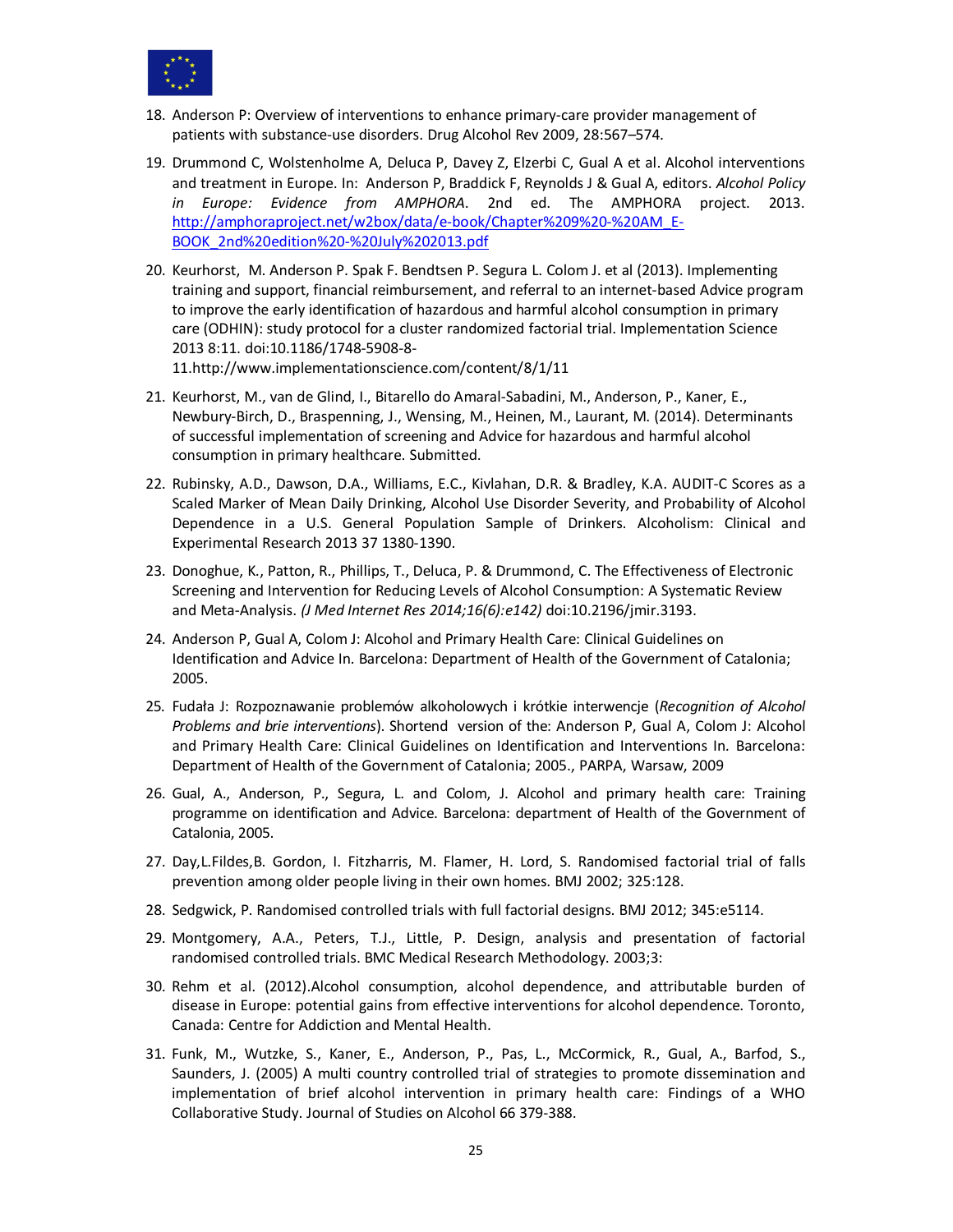

- 18. Anderson P: Overview of interventions to enhance primary-care provider management of patients with substance-use disorders. Drug Alcohol Rev 2009, 28:567–574.
- 19. Drummond C, Wolstenholme A, Deluca P, Davey Z, Elzerbi C, Gual A et al. Alcohol interventions and treatment in Europe. In: Anderson P, Braddick F, Reynolds J & Gual A, editors. *Alcohol Policy in Europe: Evidence from AMPHORA*. 2nd ed. The AMPHORA project. 2013. http://amphoraproject.net/w2box/data/e-book/Chapter%209%20-%20AM\_E-BOOK\_2nd%20edition%20-%20July%202013.pdf
- 20. Keurhorst, M. Anderson P. Spak F. Bendtsen P. Segura L. Colom J. et al (2013). Implementing training and support, financial reimbursement, and referral to an internet-based Advice program to improve the early identification of hazardous and harmful alcohol consumption in primary care (ODHIN): study protocol for a cluster randomized factorial trial. Implementation Science 2013 8:11. doi:10.1186/1748-5908-8- 11.http://www.implementationscience.com/content/8/1/11
- 21. Keurhorst, M., van de Glind, I., Bitarello do Amaral-Sabadini, M., Anderson, P., Kaner, E., Newbury-Birch, D., Braspenning, J., Wensing, M., Heinen, M., Laurant, M. (2014). Determinants of successful implementation of screening and Advice for hazardous and harmful alcohol consumption in primary healthcare. Submitted.
- 22. Rubinsky, A.D., Dawson, D.A., Williams, E.C., Kivlahan, D.R. & Bradley, K.A. AUDIT-C Scores as a Scaled Marker of Mean Daily Drinking, Alcohol Use Disorder Severity, and Probability of Alcohol Dependence in a U.S. General Population Sample of Drinkers. Alcoholism: Clinical and Experimental Research 2013 37 1380-1390.
- 23. Donoghue, K., Patton, R., Phillips, T., Deluca, P. & Drummond, C. The Effectiveness of Electronic Screening and Intervention for Reducing Levels of Alcohol Consumption: A Systematic Review and Meta-Analysis. *(J Med Internet Res 2014;16(6):e142)* doi:10.2196/jmir.3193.
- 24. Anderson P, Gual A, Colom J: Alcohol and Primary Health Care: Clinical Guidelines on Identification and Advice In*.* Barcelona: Department of Health of the Government of Catalonia; 2005.
- 25. Fudała J: Rozpoznawanie problemów alkoholowych i krótkie interwencje (*Recognition of Alcohol Problems and brie interventions*). Shortend version of the: Anderson P, Gual A, Colom J: Alcohol and Primary Health Care: Clinical Guidelines on Identification and Interventions In*.* Barcelona: Department of Health of the Government of Catalonia; 2005., PARPA, Warsaw, 2009
- 26. Gual, A., Anderson, P., Segura, L. and Colom, J. Alcohol and primary health care: Training programme on identification and Advice. Barcelona: department of Health of the Government of Catalonia, 2005.
- 27. Day,L.Fildes,B. Gordon, I. Fitzharris, M. Flamer, H. Lord, S. Randomised factorial trial of falls prevention among older people living in their own homes. BMJ 2002; 325:128.
- 28. Sedgwick, P. Randomised controlled trials with full factorial designs. BMJ 2012; 345:e5114.
- 29. Montgomery, A.A., Peters, T.J., Little, P. Design, analysis and presentation of factorial randomised controlled trials. BMC Medical Research Methodology. 2003;3:
- 30. Rehm et al. (2012).Alcohol consumption, alcohol dependence, and attributable burden of disease in Europe: potential gains from effective interventions for alcohol dependence. Toronto, Canada: Centre for Addiction and Mental Health.
- 31. Funk, M., Wutzke, S., Kaner, E., Anderson, P., Pas, L., McCormick, R., Gual, A., Barfod, S., Saunders, J. (2005) A multi country controlled trial of strategies to promote dissemination and implementation of brief alcohol intervention in primary health care: Findings of a WHO Collaborative Study. Journal of Studies on Alcohol 66 379-388.